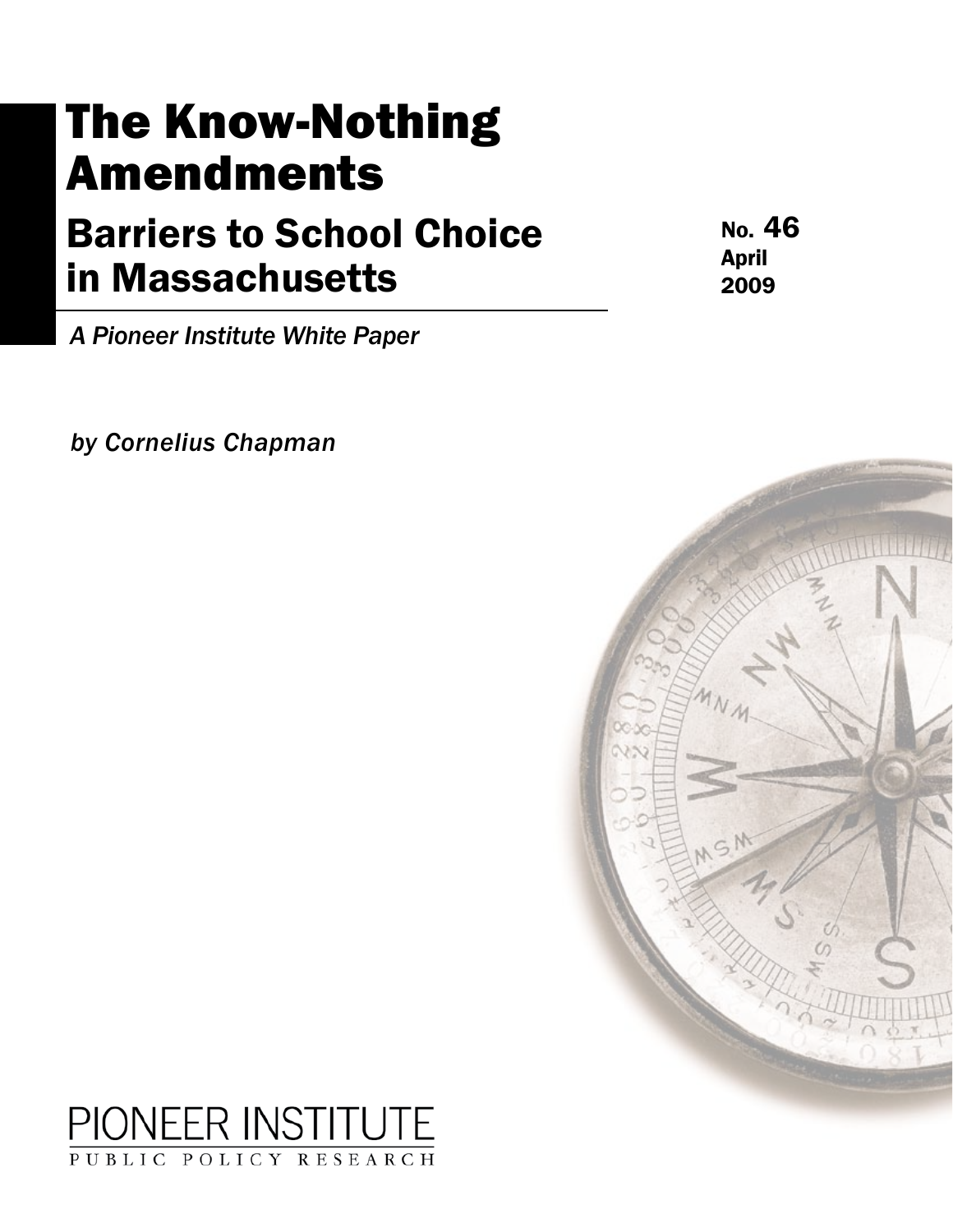# The Know-Nothing Amendments

# Barriers to School Choice in Massachusetts

No. 46 April 2009

*A Pioneer Institute White Paper*

*by Cornelius Chapman*



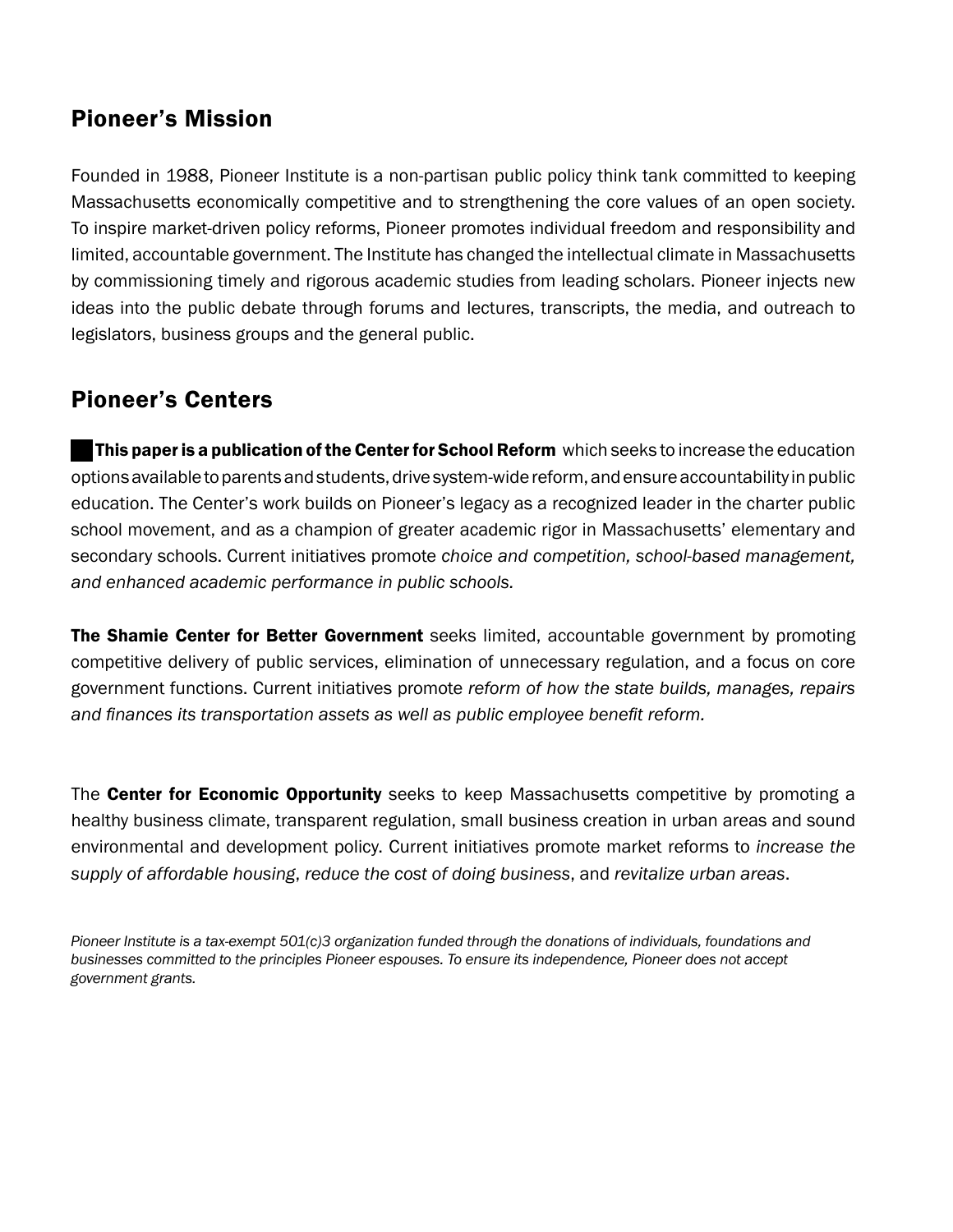# Pioneer's Mission

Founded in 1988, Pioneer Institute is a non-partisan public policy think tank committed to keeping Massachusetts economically competitive and to strengthening the core values of an open society. To inspire market-driven policy reforms, Pioneer promotes individual freedom and responsibility and limited, accountable government. The Institute has changed the intellectual climate in Massachusetts by commissioning timely and rigorous academic studies from leading scholars. Pioneer injects new ideas into the public debate through forums and lectures, transcripts, the media, and outreach to legislators, business groups and the general public.

# Pioneer's Centers

This paper is a publication of the Center for School Reform which seeks to increase the education options available to parents and students, drive system-wide reform, and ensure accountability in public education. The Center's work builds on Pioneer's legacy as a recognized leader in the charter public school movement, and as a champion of greater academic rigor in Massachusetts' elementary and secondary schools. Current initiatives promote *choice and competition, school-based management, and enhanced academic performance in public schools.* 

The Shamie Center for Better Government seeks limited, accountable government by promoting competitive delivery of public services, elimination of unnecessary regulation, and a focus on core government functions. Current initiatives promote *reform of how the state builds, manages, repairs and finances its transportation assets as well as public employee benefit reform.* 

The **Center for Economic Opportunity** seeks to keep Massachusetts competitive by promoting a healthy business climate, transparent regulation, small business creation in urban areas and sound environmental and development policy. Current initiatives promote market reforms to *increase the VXSSO\RIDIIRUGDEOHKRXVLQJ*, *reduce the cost of doing business*, and *revitalize urban areas*.

*Pioneer Institute is a tax-exempt 501(c)3 organization funded through the donations of individuals, foundations and businesses committed to the principles Pioneer espouses. To ensure its independence, Pioneer does not accept government grants.*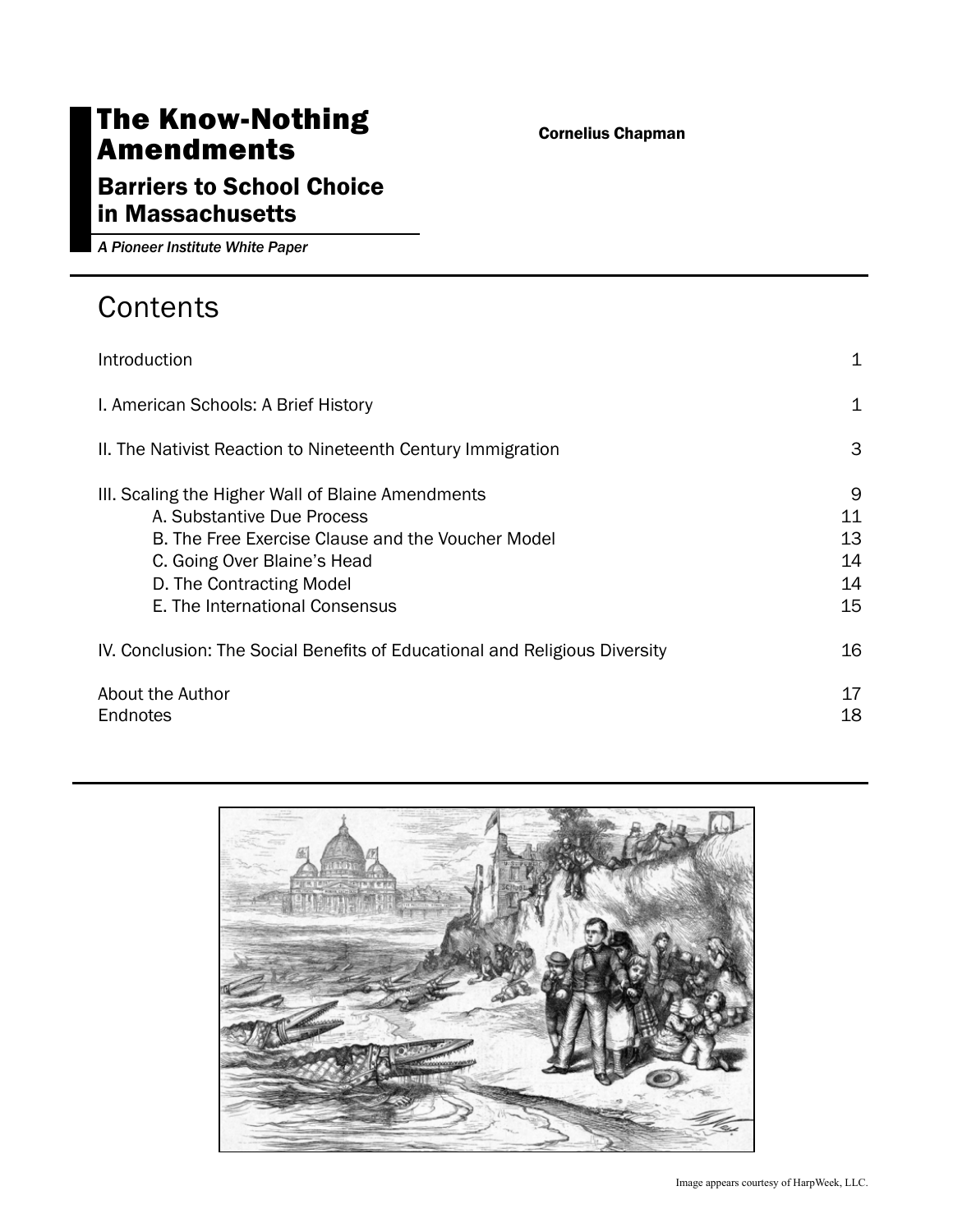# The Know-Nothing Amendments

#### Cornelius Chapman

# Barriers to School Choice in Massachusetts

*A Pioneer Institute White Paper*

# **Contents**

| Introduction                                                                                                                                                                                                                      | 1                               |
|-----------------------------------------------------------------------------------------------------------------------------------------------------------------------------------------------------------------------------------|---------------------------------|
| I. American Schools: A Brief History                                                                                                                                                                                              | 1                               |
| II. The Nativist Reaction to Nineteenth Century Immigration                                                                                                                                                                       | 3                               |
| III. Scaling the Higher Wall of Blaine Amendments<br>A. Substantive Due Process<br>B. The Free Exercise Clause and the Voucher Model<br>C. Going Over Blaine's Head<br>D. The Contracting Model<br>E. The International Consensus | 9<br>11<br>13<br>14<br>14<br>15 |
| IV. Conclusion: The Social Benefits of Educational and Religious Diversity                                                                                                                                                        | 16                              |
| About the Author<br>Endnotes                                                                                                                                                                                                      | 17<br>18                        |

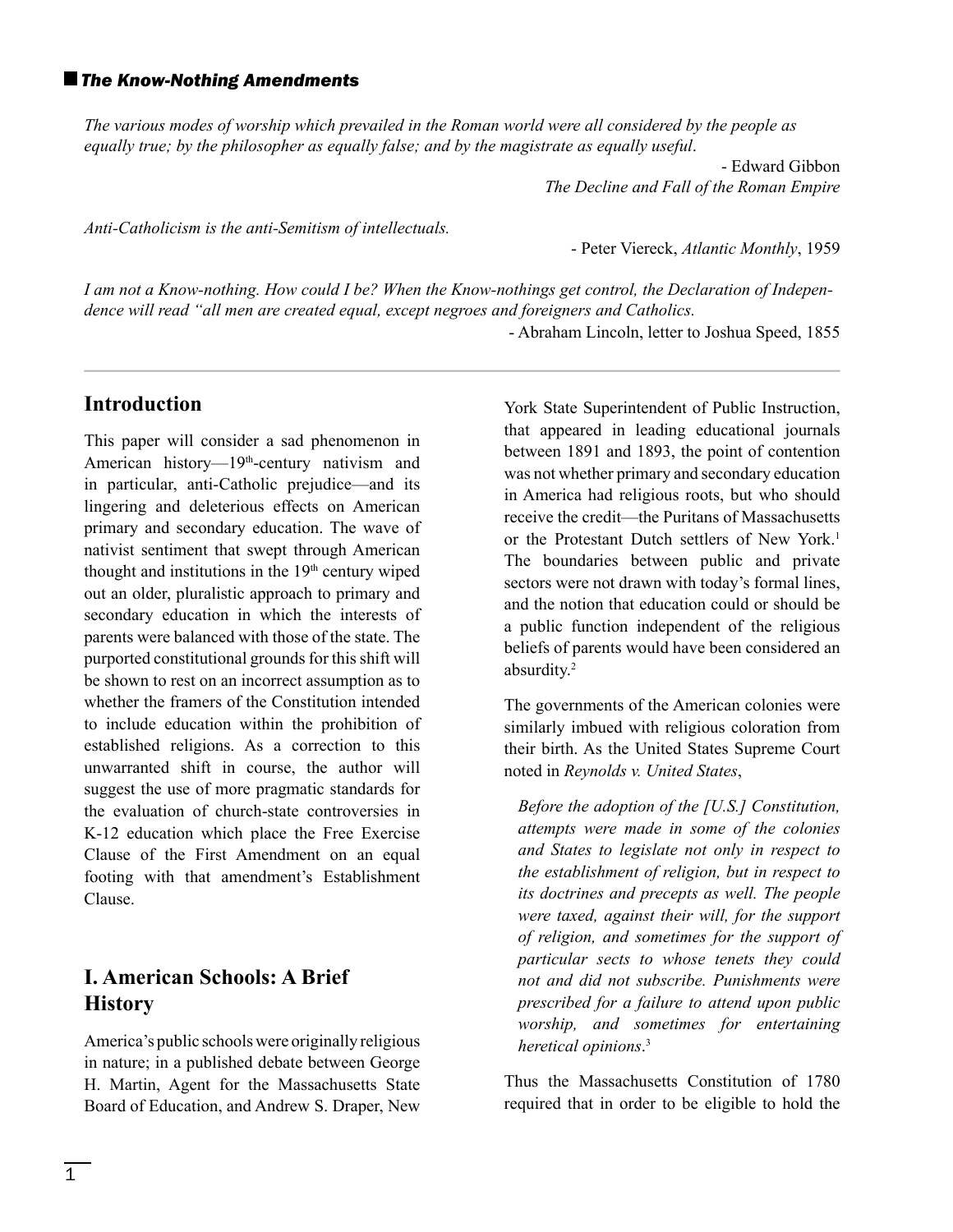#### *The Know-Nothing Amendments*

*The various modes of worship which prevailed in the Roman world were all considered by the people as equally true; by the philosopher as equally false; and by the magistrate as equally useful*.

> - Edward Gibbon *The Decline and Fall of the Roman Empire*

*Anti-Catholicism is the anti-Semitism of intellectuals.*

- Peter Viereck, *Atlantic Monthly*, 1959

*I am not a Know-nothing. How could I be? When the Know-nothings get control, the Declaration of Independence will read "all men are created equal, except negroes and foreigners and Catholics.*

- Abraham Lincoln, letter to Joshua Speed, 1855

#### **Introduction**

This paper will consider a sad phenomenon in American history—19<sup>th</sup>-century nativism and in particular, anti-Catholic prejudice—and its lingering and deleterious effects on American primary and secondary education. The wave of nativist sentiment that swept through American thought and institutions in the  $19<sup>th</sup>$  century wiped out an older, pluralistic approach to primary and secondary education in which the interests of parents were balanced with those of the state. The purported constitutional grounds for this shift will be shown to rest on an incorrect assumption as to whether the framers of the Constitution intended to include education within the prohibition of established religions. As a correction to this unwarranted shift in course, the author will suggest the use of more pragmatic standards for the evaluation of church-state controversies in K-12 education which place the Free Exercise Clause of the First Amendment on an equal footing with that amendment's Establishment Clause.

## **I. American Schools: A Brief History**

America's public schools were originally religious in nature; in a published debate between George H. Martin, Agent for the Massachusetts State Board of Education, and Andrew S. Draper, New

York State Superintendent of Public Instruction, that appeared in leading educational journals between 1891 and 1893, the point of contention was not whether primary and secondary education in America had religious roots, but who should receive the credit—the Puritans of Massachusetts or the Protestant Dutch settlers of New York.<sup>1</sup> The boundaries between public and private sectors were not drawn with today's formal lines, and the notion that education could or should be a public function independent of the religious beliefs of parents would have been considered an absurdity.2

The governments of the American colonies were similarly imbued with religious coloration from their birth. As the United States Supreme Court noted in *Reynolds v. United States*,

*Before the adoption of the [U.S.] Constitution, attempts were made in some of the colonies and States to legislate not only in respect to the establishment of religion, but in respect to its doctrines and precepts as well. The people were taxed, against their will, for the support of religion, and sometimes for the support of particular sects to whose tenets they could not and did not subscribe. Punishments were prescribed for a failure to attend upon public worship, and sometimes for entertaining heretical opinions*. 3

Thus the Massachusetts Constitution of 1780 required that in order to be eligible to hold the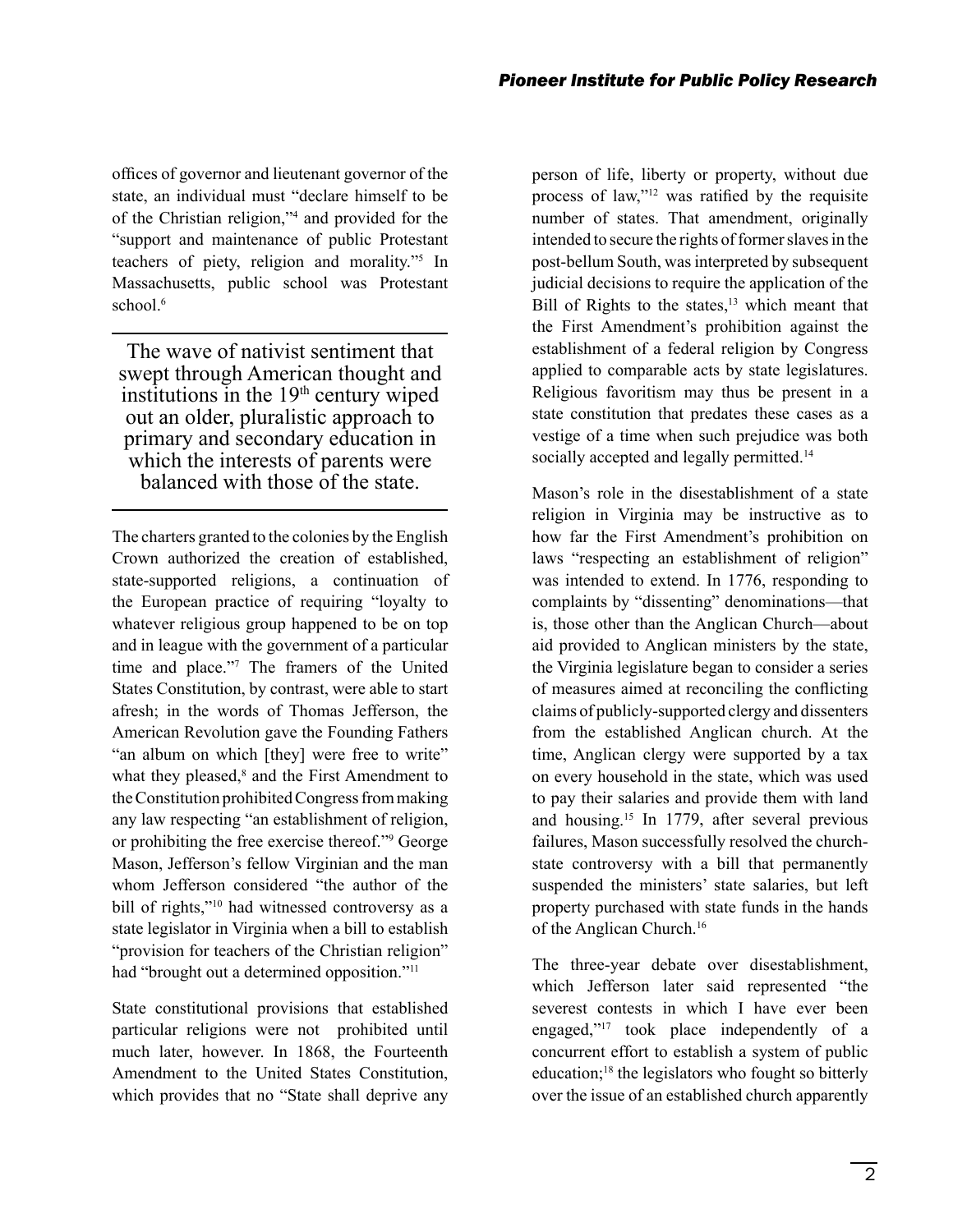offices of governor and lieutenant governor of the state, an individual must "declare himself to be of the Christian religion,"4 and provided for the "support and maintenance of public Protestant teachers of piety, religion and morality."5 In Massachusetts, public school was Protestant school $6$ 

The wave of nativist sentiment that swept through American thought and institutions in the  $19<sup>th</sup>$  century wiped out an older, pluralistic approach to primary and secondary education in which the interests of parents were balanced with those of the state.

The charters granted to the colonies by the English Crown authorized the creation of established, state-supported religions, a continuation of the European practice of requiring "loyalty to whatever religious group happened to be on top and in league with the government of a particular time and place."7 The framers of the United States Constitution, by contrast, were able to start afresh; in the words of Thomas Jefferson, the American Revolution gave the Founding Fathers "an album on which [they] were free to write" what they pleased,<sup>8</sup> and the First Amendment to the Constitution prohibited Congress from making any law respecting "an establishment of religion, or prohibiting the free exercise thereof."9 George Mason, Jefferson's fellow Virginian and the man whom Jefferson considered "the author of the bill of rights,"<sup>10</sup> had witnessed controversy as a state legislator in Virginia when a bill to establish "provision for teachers of the Christian religion" had "brought out a determined opposition."<sup>11</sup>

State constitutional provisions that established particular religions were not prohibited until much later, however. In 1868, the Fourteenth Amendment to the United States Constitution, which provides that no "State shall deprive any person of life, liberty or property, without due process of law," $12$  was ratified by the requisite number of states. That amendment, originally intended to secure the rights of former slaves in the post-bellum South, was interpreted by subsequent judicial decisions to require the application of the Bill of Rights to the states, $13$  which meant that the First Amendment's prohibition against the establishment of a federal religion by Congress applied to comparable acts by state legislatures. Religious favoritism may thus be present in a state constitution that predates these cases as a vestige of a time when such prejudice was both socially accepted and legally permitted.<sup>14</sup>

Mason's role in the disestablishment of a state religion in Virginia may be instructive as to how far the First Amendment's prohibition on laws "respecting an establishment of religion" was intended to extend. In 1776, responding to complaints by "dissenting" denominations—that is, those other than the Anglican Church—about aid provided to Anglican ministers by the state, the Virginia legislature began to consider a series of measures aimed at reconciling the conflicting claims of publicly-supported clergy and dissenters from the established Anglican church. At the time, Anglican clergy were supported by a tax on every household in the state, which was used to pay their salaries and provide them with land and housing.15 In 1779, after several previous failures, Mason successfully resolved the churchstate controversy with a bill that permanently suspended the ministers' state salaries, but left property purchased with state funds in the hands of the Anglican Church.16

The three-year debate over disestablishment, which Jefferson later said represented "the severest contests in which I have ever been engaged,"17 took place independently of a concurrent effort to establish a system of public education;18 the legislators who fought so bitterly over the issue of an established church apparently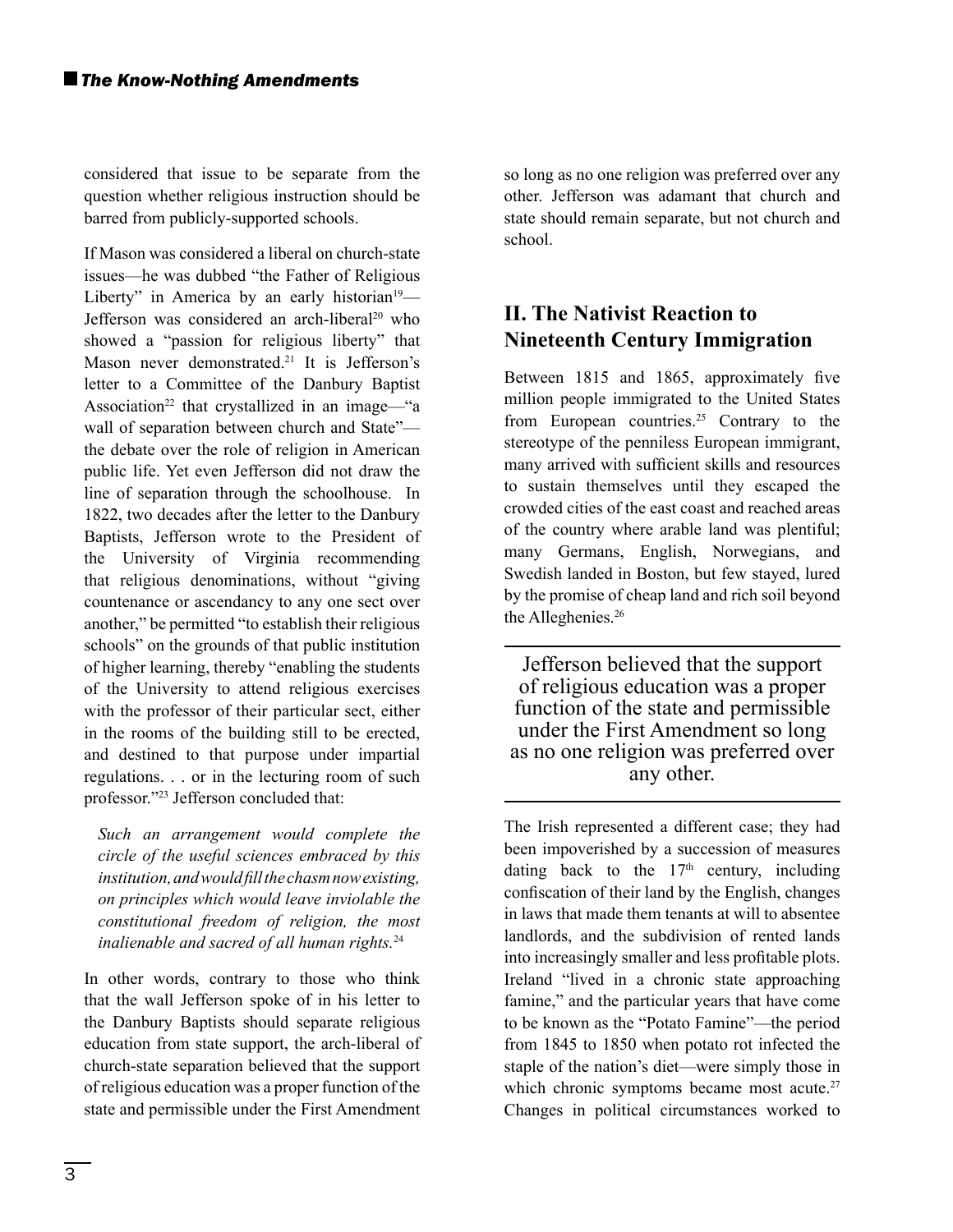considered that issue to be separate from the question whether religious instruction should be barred from publicly-supported schools.

If Mason was considered a liberal on church-state issues—he was dubbed "the Father of Religious Liberty" in America by an early historian<sup>19</sup>— Jefferson was considered an arch-liberal<sup>20</sup> who showed a "passion for religious liberty" that Mason never demonstrated.<sup>21</sup> It is Jefferson's letter to a Committee of the Danbury Baptist Association<sup>22</sup> that crystallized in an image—"a wall of separation between church and State" the debate over the role of religion in American public life. Yet even Jefferson did not draw the line of separation through the schoolhouse. In 1822, two decades after the letter to the Danbury Baptists, Jefferson wrote to the President of the University of Virginia recommending that religious denominations, without "giving countenance or ascendancy to any one sect over another," be permitted "to establish their religious schools" on the grounds of that public institution of higher learning, thereby "enabling the students of the University to attend religious exercises with the professor of their particular sect, either in the rooms of the building still to be erected, and destined to that purpose under impartial regulations. . . or in the lecturing room of such professor."23 Jefferson concluded that:

*Such an arrangement would complete the circle of the useful sciences embraced by this institution, and would fill the chasm now existing, on principles which would leave inviolable the constitutional freedom of religion, the most inalienable and sacred of all human rights.*<sup>24</sup>

In other words, contrary to those who think that the wall Jefferson spoke of in his letter to the Danbury Baptists should separate religious education from state support, the arch-liberal of church-state separation believed that the support of religious education was a proper function of the state and permissible under the First Amendment

so long as no one religion was preferred over any other. Jefferson was adamant that church and state should remain separate, but not church and school.

# **II. The Nativist Reaction to Nineteenth Century Immigration**

Between 1815 and 1865, approximately five million people immigrated to the United States from European countries.<sup>25</sup> Contrary to the stereotype of the penniless European immigrant, many arrived with sufficient skills and resources to sustain themselves until they escaped the crowded cities of the east coast and reached areas of the country where arable land was plentiful; many Germans, English, Norwegians, and Swedish landed in Boston, but few stayed, lured by the promise of cheap land and rich soil beyond the Alleghenies.<sup>26</sup>

Jefferson believed that the support of religious education was a proper function of the state and permissible under the First Amendment so long as no one religion was preferred over any other.

The Irish represented a different case; they had been impoverished by a succession of measures dating back to the  $17<sup>th</sup>$  century, including confiscation of their land by the English, changes in laws that made them tenants at will to absentee landlords, and the subdivision of rented lands into increasingly smaller and less profitable plots. Ireland "lived in a chronic state approaching famine," and the particular years that have come to be known as the "Potato Famine"—the period from 1845 to 1850 when potato rot infected the staple of the nation's diet—were simply those in which chronic symptoms became most acute.<sup>27</sup> Changes in political circumstances worked to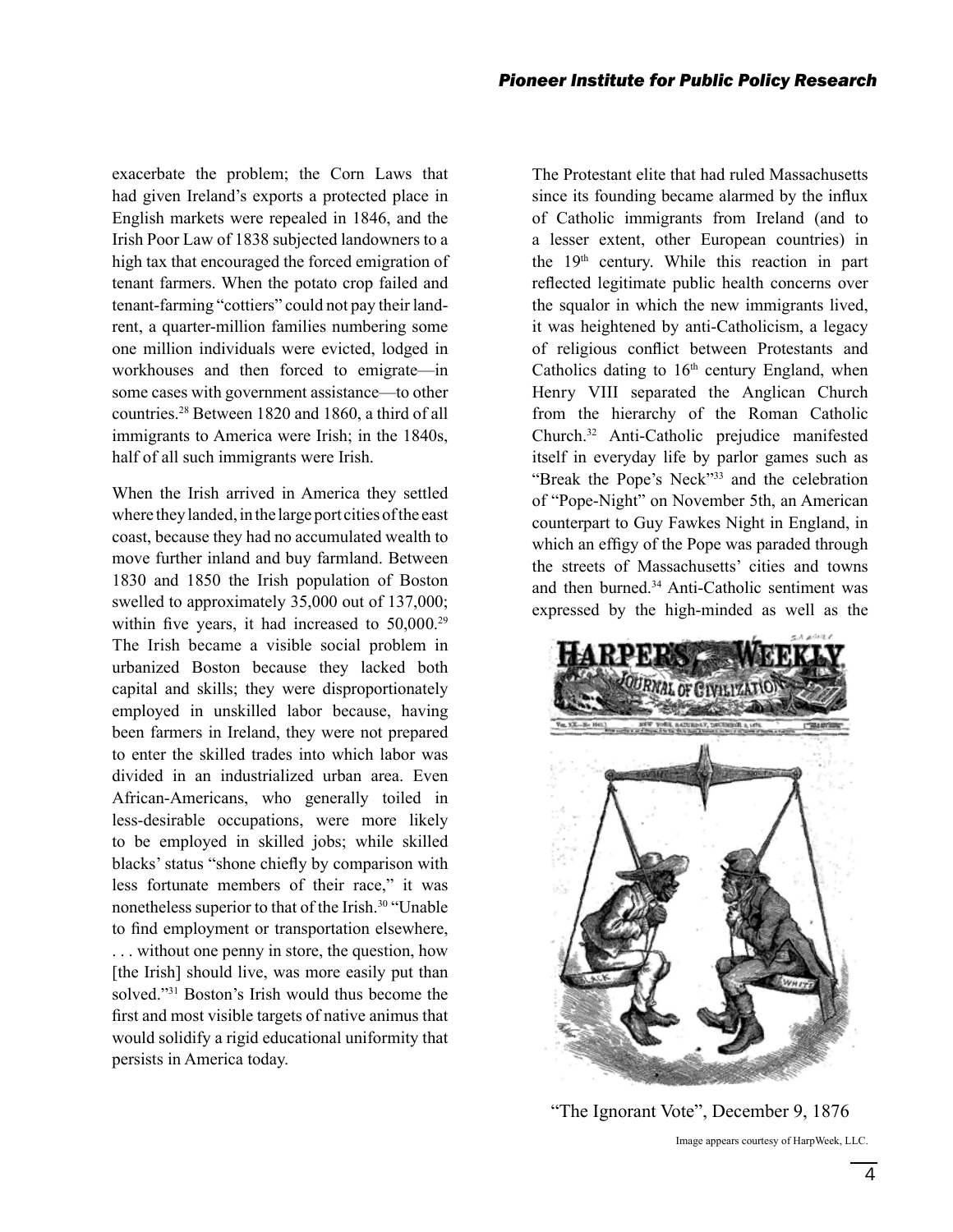exacerbate the problem; the Corn Laws that had given Ireland's exports a protected place in English markets were repealed in 1846, and the Irish Poor Law of 1838 subjected landowners to a high tax that encouraged the forced emigration of tenant farmers. When the potato crop failed and tenant-farming "cottiers" could not pay their landrent, a quarter-million families numbering some one million individuals were evicted, lodged in workhouses and then forced to emigrate—in some cases with government assistance—to other countries.28 Between 1820 and 1860, a third of all immigrants to America were Irish; in the 1840s, half of all such immigrants were Irish.

When the Irish arrived in America they settled where they landed, in the large port cities of the east coast, because they had no accumulated wealth to move further inland and buy farmland. Between 1830 and 1850 the Irish population of Boston swelled to approximately 35,000 out of 137,000; within five years, it had increased to  $50,000$ .<sup>29</sup> The Irish became a visible social problem in urbanized Boston because they lacked both capital and skills; they were disproportionately employed in unskilled labor because, having been farmers in Ireland, they were not prepared to enter the skilled trades into which labor was divided in an industrialized urban area. Even African-Americans, who generally toiled in less-desirable occupations, were more likely to be employed in skilled jobs; while skilled blacks' status "shone chiefly by comparison with less fortunate members of their race," it was nonetheless superior to that of the Irish.<sup>30</sup> "Unable to find employment or transportation elsewhere, . . . without one penny in store, the question, how [the Irish] should live, was more easily put than solved."31 Boston's Irish would thus become the first and most visible targets of native animus that would solidify a rigid educational uniformity that persists in America today.

The Protestant elite that had ruled Massachusetts since its founding became alarmed by the influx of Catholic immigrants from Ireland (and to a lesser extent, other European countries) in the 19th century. While this reaction in part reflected legitimate public health concerns over the squalor in which the new immigrants lived, it was heightened by anti-Catholicism, a legacy of religious conflict between Protestants and Catholics dating to  $16<sup>th</sup>$  century England, when Henry VIII separated the Anglican Church from the hierarchy of the Roman Catholic Church.32 Anti-Catholic prejudice manifested itself in everyday life by parlor games such as "Break the Pope's Neck"33 and the celebration of "Pope-Night" on November 5th, an American counterpart to Guy Fawkes Night in England, in which an effigy of the Pope was paraded through the streets of Massachusetts' cities and towns and then burned.<sup>34</sup> Anti-Catholic sentiment was expressed by the high-minded as well as the



Image appears courtesy of HarpWeek, LLC. "The Ignorant Vote", December 9, 1876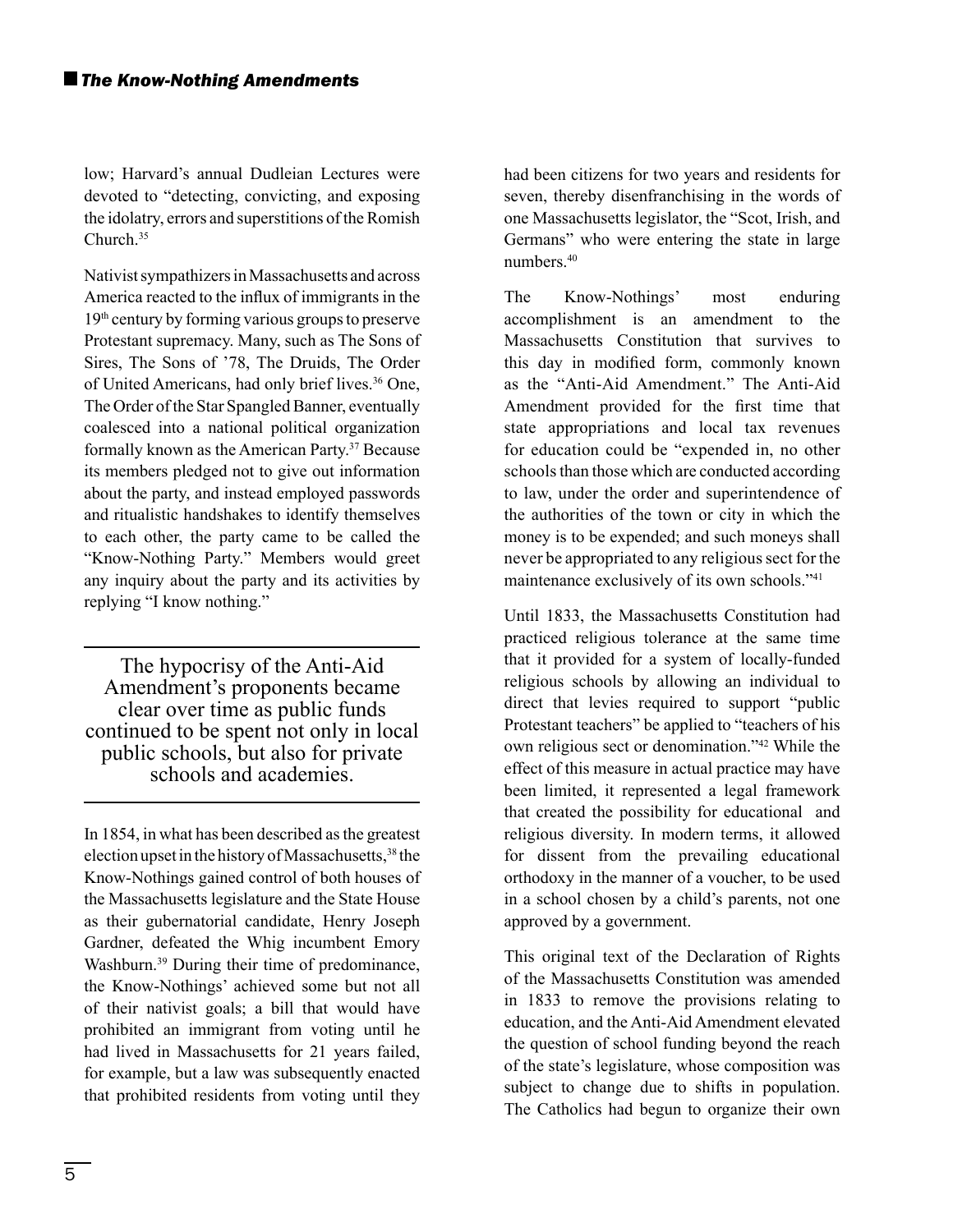low; Harvard's annual Dudleian Lectures were devoted to "detecting, convicting, and exposing the idolatry, errors and superstitions of the Romish Church.35

Nativist sympathizers in Massachusetts and across America reacted to the influx of immigrants in the 19th century by forming various groups to preserve Protestant supremacy. Many, such as The Sons of Sires, The Sons of '78, The Druids, The Order of United Americans, had only brief lives.<sup>36</sup> One, The Order of the Star Spangled Banner, eventually coalesced into a national political organization formally known as the American Party.<sup>37</sup> Because its members pledged not to give out information about the party, and instead employed passwords and ritualistic handshakes to identify themselves to each other, the party came to be called the "Know-Nothing Party." Members would greet any inquiry about the party and its activities by replying "I know nothing."

The hypocrisy of the Anti-Aid Amendment's proponents became clear over time as public funds continued to be spent not only in local public schools, but also for private schools and academies.

In 1854, in what has been described as the greatest election upset in the history of Massachusetts,<sup>38</sup> the Know-Nothings gained control of both houses of the Massachusetts legislature and the State House as their gubernatorial candidate, Henry Joseph Gardner, defeated the Whig incumbent Emory Washburn.<sup>39</sup> During their time of predominance, the Know-Nothings' achieved some but not all of their nativist goals; a bill that would have prohibited an immigrant from voting until he had lived in Massachusetts for 21 years failed, for example, but a law was subsequently enacted that prohibited residents from voting until they

had been citizens for two years and residents for seven, thereby disenfranchising in the words of one Massachusetts legislator, the "Scot, Irish, and Germans" who were entering the state in large numbers.40

The Know-Nothings' most enduring accomplishment is an amendment to the Massachusetts Constitution that survives to this day in modified form, commonly known as the "Anti-Aid Amendment." The Anti-Aid Amendment provided for the first time that state appropriations and local tax revenues for education could be "expended in, no other schools than those which are conducted according to law, under the order and superintendence of the authorities of the town or city in which the money is to be expended; and such moneys shall never be appropriated to any religious sect for the maintenance exclusively of its own schools."41

Until 1833, the Massachusetts Constitution had practiced religious tolerance at the same time that it provided for a system of locally-funded religious schools by allowing an individual to direct that levies required to support "public Protestant teachers" be applied to "teachers of his own religious sect or denomination."42 While the effect of this measure in actual practice may have been limited, it represented a legal framework that created the possibility for educational and religious diversity. In modern terms, it allowed for dissent from the prevailing educational orthodoxy in the manner of a voucher, to be used in a school chosen by a child's parents, not one approved by a government.

This original text of the Declaration of Rights of the Massachusetts Constitution was amended in 1833 to remove the provisions relating to education, and the Anti-Aid Amendment elevated the question of school funding beyond the reach of the state's legislature, whose composition was subject to change due to shifts in population. The Catholics had begun to organize their own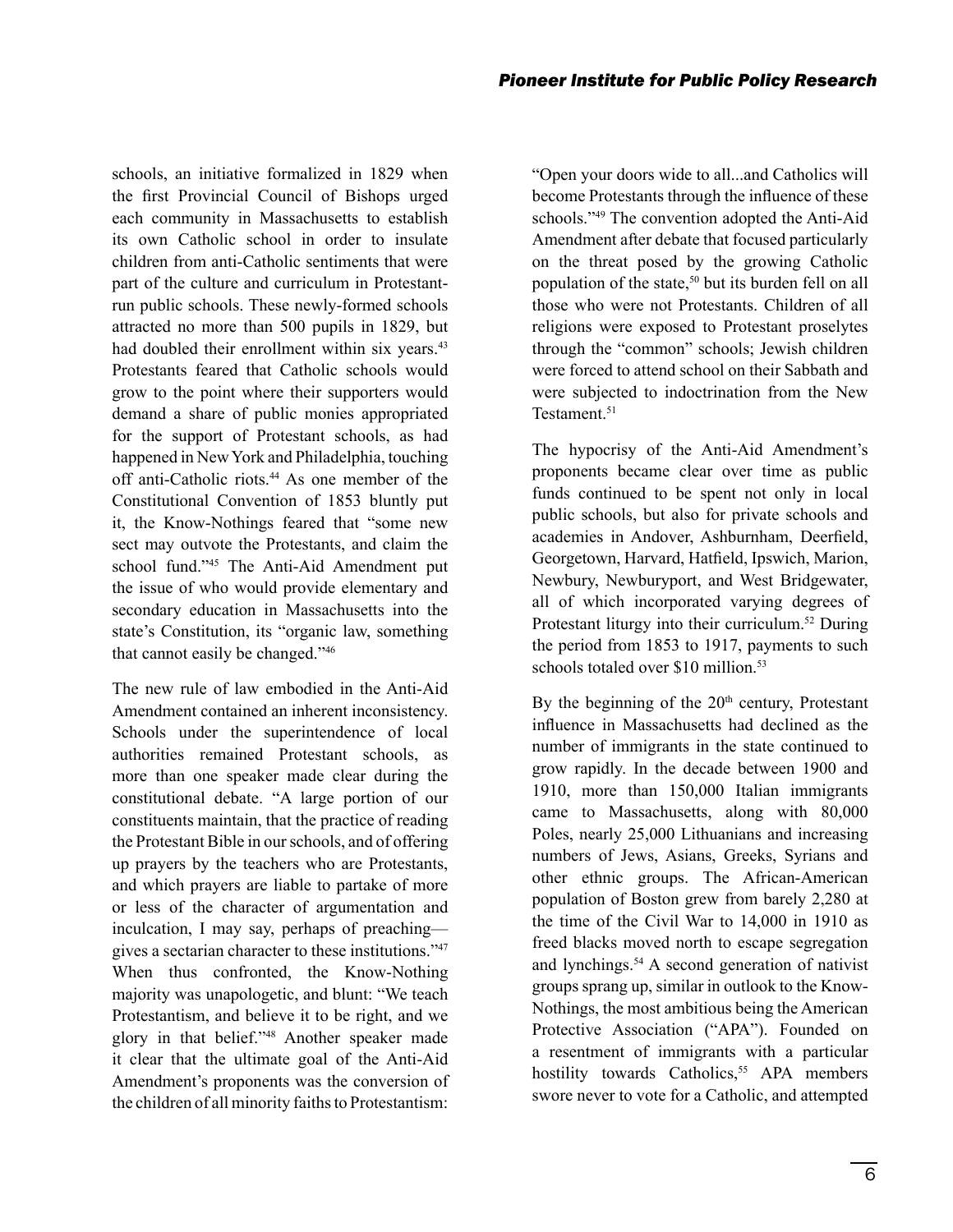schools, an initiative formalized in 1829 when the first Provincial Council of Bishops urged each community in Massachusetts to establish its own Catholic school in order to insulate children from anti-Catholic sentiments that were part of the culture and curriculum in Protestantrun public schools. These newly-formed schools attracted no more than 500 pupils in 1829, but had doubled their enrollment within six years.<sup>43</sup> Protestants feared that Catholic schools would grow to the point where their supporters would demand a share of public monies appropriated for the support of Protestant schools, as had happened in New York and Philadelphia, touching off anti-Catholic riots.44 As one member of the Constitutional Convention of 1853 bluntly put it, the Know-Nothings feared that "some new sect may outvote the Protestants, and claim the school fund."45 The Anti-Aid Amendment put the issue of who would provide elementary and secondary education in Massachusetts into the state's Constitution, its "organic law, something that cannot easily be changed."46

The new rule of law embodied in the Anti-Aid Amendment contained an inherent inconsistency. Schools under the superintendence of local authorities remained Protestant schools, as more than one speaker made clear during the constitutional debate. "A large portion of our constituents maintain, that the practice of reading the Protestant Bible in our schools, and of offering up prayers by the teachers who are Protestants, and which prayers are liable to partake of more or less of the character of argumentation and inculcation, I may say, perhaps of preaching gives a sectarian character to these institutions."47 When thus confronted, the Know-Nothing majority was unapologetic, and blunt: "We teach Protestantism, and believe it to be right, and we glory in that belief."48 Another speaker made it clear that the ultimate goal of the Anti-Aid Amendment's proponents was the conversion of the children of all minority faiths to Protestantism:

"Open your doors wide to all...and Catholics will become Protestants through the influence of these schools."49 The convention adopted the Anti-Aid Amendment after debate that focused particularly on the threat posed by the growing Catholic population of the state,<sup>50</sup> but its burden fell on all those who were not Protestants. Children of all religions were exposed to Protestant proselytes through the "common" schools; Jewish children were forced to attend school on their Sabbath and were subjected to indoctrination from the New Testament.<sup>51</sup>

The hypocrisy of the Anti-Aid Amendment's proponents became clear over time as public funds continued to be spent not only in local public schools, but also for private schools and academies in Andover, Ashburnham, Deerfield, Georgetown, Harvard, Hatfield, Ipswich, Marion, Newbury, Newburyport, and West Bridgewater, all of which incorporated varying degrees of Protestant liturgy into their curriculum.<sup>52</sup> During the period from 1853 to 1917, payments to such schools totaled over \$10 million.<sup>53</sup>

By the beginning of the  $20<sup>th</sup>$  century, Protestant influence in Massachusetts had declined as the number of immigrants in the state continued to grow rapidly. In the decade between 1900 and 1910, more than 150,000 Italian immigrants came to Massachusetts, along with 80,000 Poles, nearly 25,000 Lithuanians and increasing numbers of Jews, Asians, Greeks, Syrians and other ethnic groups. The African-American population of Boston grew from barely 2,280 at the time of the Civil War to 14,000 in 1910 as freed blacks moved north to escape segregation and lynchings.54 A second generation of nativist groups sprang up, similar in outlook to the Know-Nothings, the most ambitious being the American Protective Association ("APA"). Founded on a resentment of immigrants with a particular hostility towards Catholics,<sup>55</sup> APA members swore never to vote for a Catholic, and attempted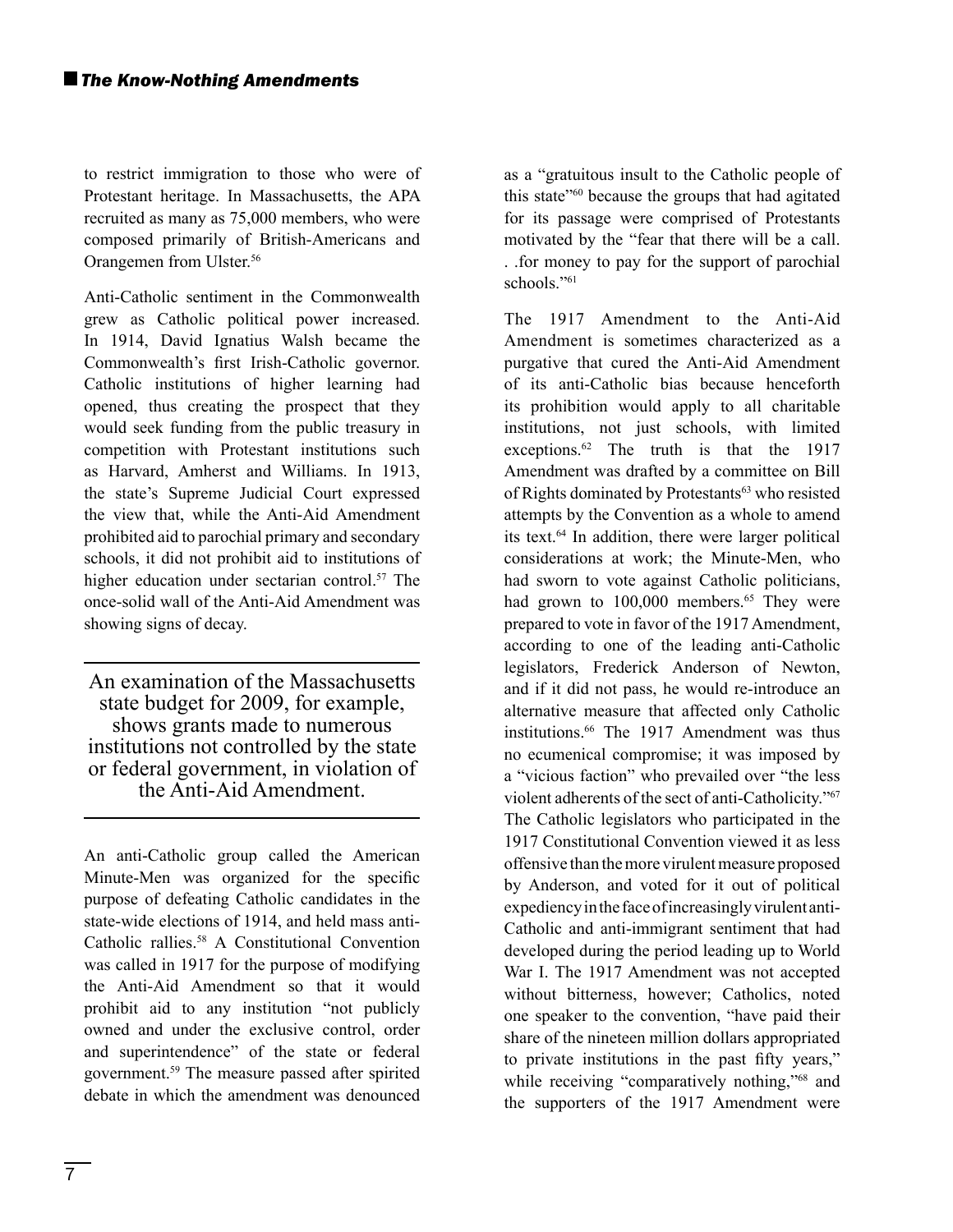to restrict immigration to those who were of Protestant heritage. In Massachusetts, the APA recruited as many as 75,000 members, who were composed primarily of British-Americans and Orangemen from Ulster.56

Anti-Catholic sentiment in the Commonwealth grew as Catholic political power increased. In 1914, David Ignatius Walsh became the Commonwealth's first Irish-Catholic governor. Catholic institutions of higher learning had opened, thus creating the prospect that they would seek funding from the public treasury in competition with Protestant institutions such as Harvard, Amherst and Williams. In 1913, the state's Supreme Judicial Court expressed the view that, while the Anti-Aid Amendment prohibited aid to parochial primary and secondary schools, it did not prohibit aid to institutions of higher education under sectarian control.<sup>57</sup> The once-solid wall of the Anti-Aid Amendment was showing signs of decay.

An examination of the Massachusetts state budget for 2009, for example, shows grants made to numerous institutions not controlled by the state or federal government, in violation of the Anti-Aid Amendment.

An anti-Catholic group called the American Minute-Men was organized for the specific purpose of defeating Catholic candidates in the state-wide elections of 1914, and held mass anti-Catholic rallies.58 A Constitutional Convention was called in 1917 for the purpose of modifying the Anti-Aid Amendment so that it would prohibit aid to any institution "not publicly owned and under the exclusive control, order and superintendence" of the state or federal government.59 The measure passed after spirited debate in which the amendment was denounced

as a "gratuitous insult to the Catholic people of this state"60 because the groups that had agitated for its passage were comprised of Protestants motivated by the "fear that there will be a call. . .for money to pay for the support of parochial schools."<sup>61</sup>

The 1917 Amendment to the Anti-Aid Amendment is sometimes characterized as a purgative that cured the Anti-Aid Amendment of its anti-Catholic bias because henceforth its prohibition would apply to all charitable institutions, not just schools, with limited exceptions.<sup>62</sup> The truth is that the 1917 Amendment was drafted by a committee on Bill of Rights dominated by Protestants<sup>63</sup> who resisted attempts by the Convention as a whole to amend its text.64 In addition, there were larger political considerations at work; the Minute-Men, who had sworn to vote against Catholic politicians, had grown to 100,000 members.<sup>65</sup> They were prepared to vote in favor of the 1917 Amendment, according to one of the leading anti-Catholic legislators, Frederick Anderson of Newton, and if it did not pass, he would re-introduce an alternative measure that affected only Catholic institutions.<sup>66</sup> The 1917 Amendment was thus no ecumenical compromise; it was imposed by a "vicious faction" who prevailed over "the less violent adherents of the sect of anti-Catholicity."67 The Catholic legislators who participated in the 1917 Constitutional Convention viewed it as less offensive than the more virulent measure proposed by Anderson, and voted for it out of political expediency in the face of increasingly virulent anti-Catholic and anti-immigrant sentiment that had developed during the period leading up to World War I. The 1917 Amendment was not accepted without bitterness, however; Catholics, noted one speaker to the convention, "have paid their share of the nineteen million dollars appropriated to private institutions in the past fifty years," while receiving "comparatively nothing,"<sup>68</sup> and the supporters of the 1917 Amendment were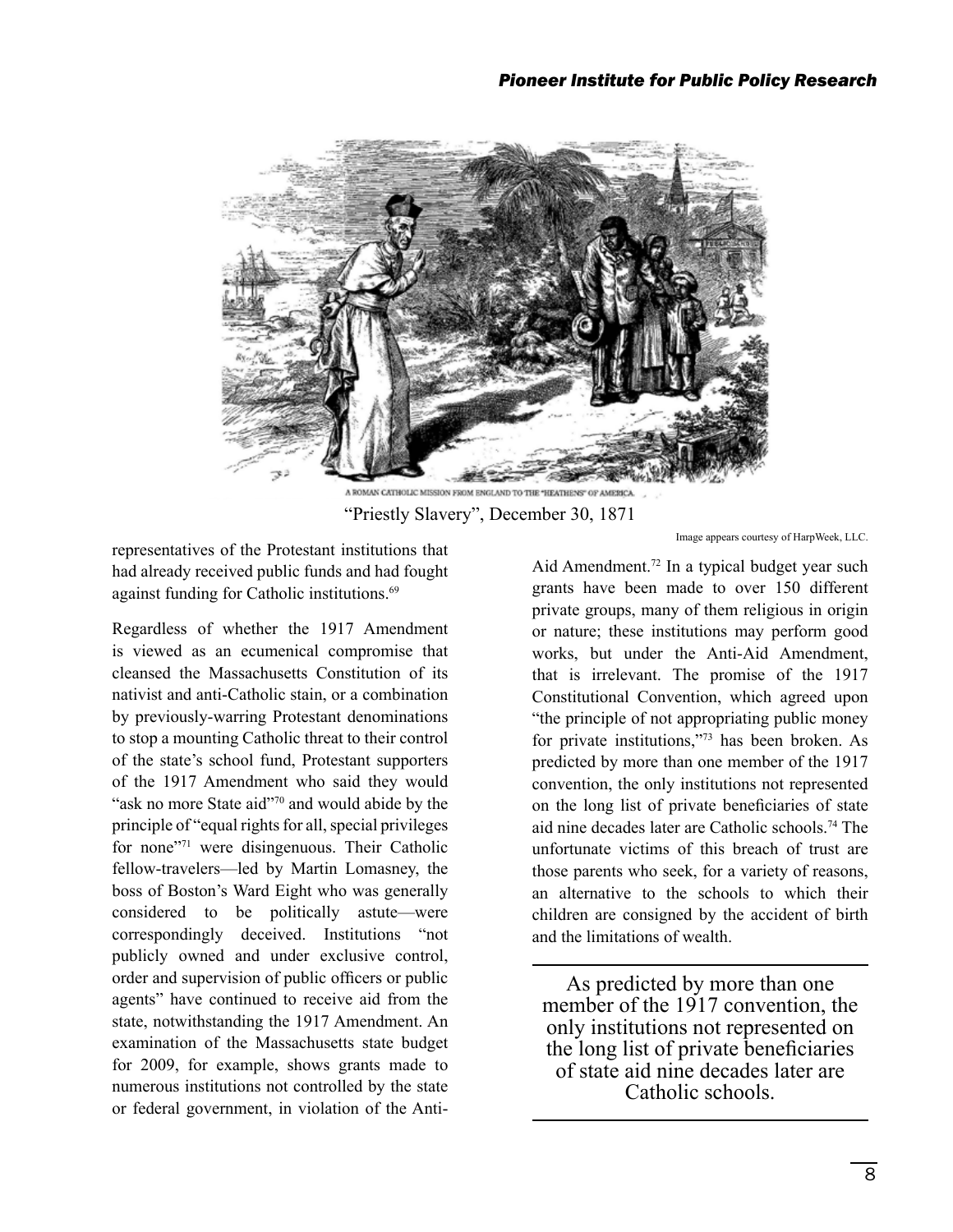

A ROMAN CATHOLIC MISSION FROM ENGLAND TO THE "HEATHENS" OF AMERICA. "Priestly Slavery", December 30, 1871

representatives of the Protestant institutions that had already received public funds and had fought against funding for Catholic institutions.<sup>69</sup>

Regardless of whether the 1917 Amendment is viewed as an ecumenical compromise that cleansed the Massachusetts Constitution of its nativist and anti-Catholic stain, or a combination by previously-warring Protestant denominations to stop a mounting Catholic threat to their control of the state's school fund, Protestant supporters of the 1917 Amendment who said they would "ask no more State aid"70 and would abide by the principle of "equal rights for all, special privileges for none"71 were disingenuous. Their Catholic fellow-travelers—led by Martin Lomasney, the boss of Boston's Ward Eight who was generally considered to be politically astute—were correspondingly deceived. Institutions "not publicly owned and under exclusive control, order and supervision of public officers or public agents" have continued to receive aid from the state, notwithstanding the 1917 Amendment. An examination of the Massachusetts state budget for 2009, for example, shows grants made to numerous institutions not controlled by the state or federal government, in violation of the AntiImage appears courtesy of HarpWeek, LLC.

Aid Amendment.<sup>72</sup> In a typical budget year such grants have been made to over 150 different private groups, many of them religious in origin or nature; these institutions may perform good works, but under the Anti-Aid Amendment, that is irrelevant. The promise of the 1917 Constitutional Convention, which agreed upon "the principle of not appropriating public money for private institutions,"73 has been broken. As predicted by more than one member of the 1917 convention, the only institutions not represented on the long list of private beneficiaries of state aid nine decades later are Catholic schools.74 The unfortunate victims of this breach of trust are those parents who seek, for a variety of reasons, an alternative to the schools to which their children are consigned by the accident of birth and the limitations of wealth.

As predicted by more than one member of the 1917 convention, the only institutions not represented on the long list of private beneficiaries of state aid nine decades later are Catholic schools.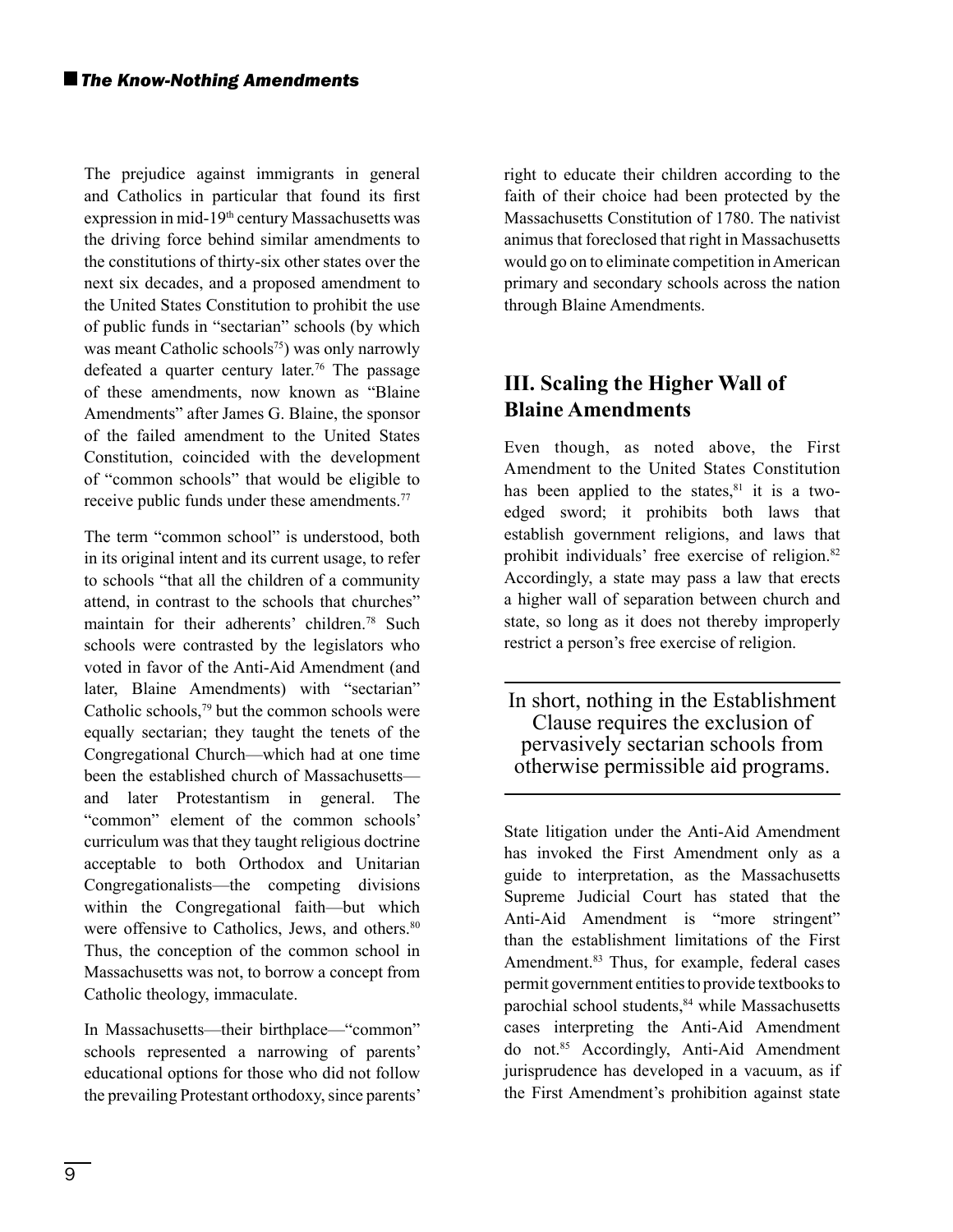The prejudice against immigrants in general and Catholics in particular that found its first expression in mid-19th century Massachusetts was the driving force behind similar amendments to the constitutions of thirty-six other states over the next six decades, and a proposed amendment to the United States Constitution to prohibit the use of public funds in "sectarian" schools (by which was meant Catholic schools<sup>75</sup>) was only narrowly defeated a quarter century later.76 The passage of these amendments, now known as "Blaine Amendments" after James G. Blaine, the sponsor of the failed amendment to the United States Constitution, coincided with the development of "common schools" that would be eligible to receive public funds under these amendments.<sup>77</sup>

The term "common school" is understood, both in its original intent and its current usage, to refer to schools "that all the children of a community attend, in contrast to the schools that churches" maintain for their adherents' children.78 Such schools were contrasted by the legislators who voted in favor of the Anti-Aid Amendment (and later, Blaine Amendments) with "sectarian" Catholic schools,79 but the common schools were equally sectarian; they taught the tenets of the Congregational Church—which had at one time been the established church of Massachusetts and later Protestantism in general. The "common" element of the common schools' curriculum was that they taught religious doctrine acceptable to both Orthodox and Unitarian Congregationalists—the competing divisions within the Congregational faith—but which were offensive to Catholics, Jews, and others.<sup>80</sup> Thus, the conception of the common school in Massachusetts was not, to borrow a concept from Catholic theology, immaculate.

In Massachusetts—their birthplace—"common" schools represented a narrowing of parents' educational options for those who did not follow the prevailing Protestant orthodoxy, since parents'

right to educate their children according to the faith of their choice had been protected by the Massachusetts Constitution of 1780. The nativist animus that foreclosed that right in Massachusetts would go on to eliminate competition in American primary and secondary schools across the nation through Blaine Amendments.

# **III. Scaling the Higher Wall of Blaine Amendments**

Even though, as noted above, the First Amendment to the United States Constitution has been applied to the states, $81$  it is a twoedged sword; it prohibits both laws that establish government religions, and laws that prohibit individuals' free exercise of religion.<sup>82</sup> Accordingly, a state may pass a law that erects a higher wall of separation between church and state, so long as it does not thereby improperly restrict a person's free exercise of religion.

In short, nothing in the Establishment Clause requires the exclusion of pervasively sectarian schools from otherwise permissible aid programs.

State litigation under the Anti-Aid Amendment has invoked the First Amendment only as a guide to interpretation, as the Massachusetts Supreme Judicial Court has stated that the Anti-Aid Amendment is "more stringent" than the establishment limitations of the First Amendment.<sup>83</sup> Thus, for example, federal cases permit government entities to provide textbooks to parochial school students,<sup>84</sup> while Massachusetts cases interpreting the Anti-Aid Amendment do not.85 Accordingly, Anti-Aid Amendment jurisprudence has developed in a vacuum, as if the First Amendment's prohibition against state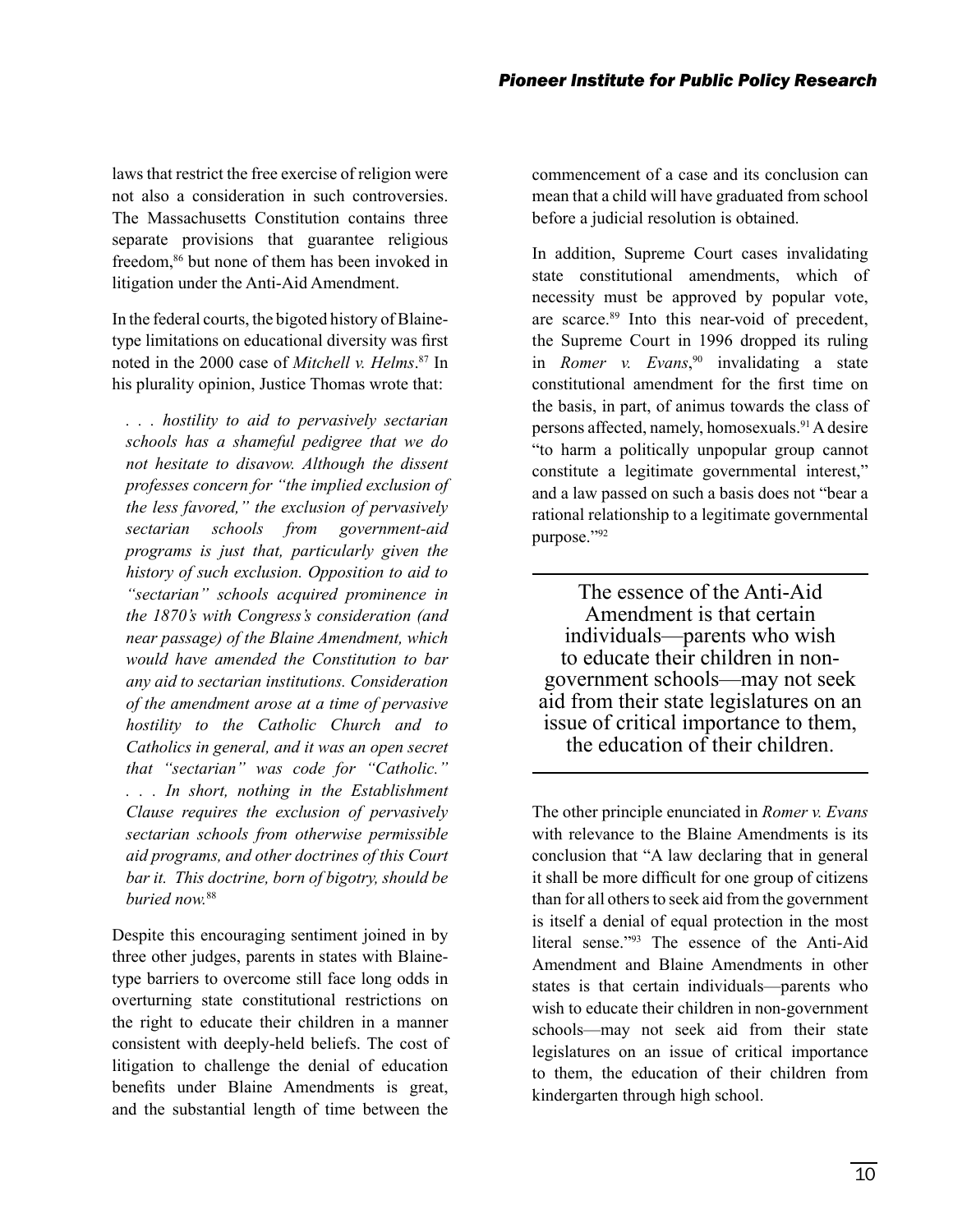laws that restrict the free exercise of religion were not also a consideration in such controversies. The Massachusetts Constitution contains three separate provisions that guarantee religious freedom,<sup>86</sup> but none of them has been invoked in litigation under the Anti-Aid Amendment.

In the federal courts, the bigoted history of Blainetype limitations on educational diversity was first noted in the 2000 case of *Mitchell v. Helms*. 87 In his plurality opinion, Justice Thomas wrote that:

*. . . hostility to aid to pervasively sectarian schools has a shameful pedigree that we do not hesitate to disavow. Although the dissent professes concern for "the implied exclusion of the less favored," the exclusion of pervasively sectarian schools from government-aid programs is just that, particularly given the history of such exclusion. Opposition to aid to "sectarian" schools acquired prominence in the 1870's with Congress's consideration (and near passage) of the Blaine Amendment, which would have amended the Constitution to bar any aid to sectarian institutions. Consideration of the amendment arose at a time of pervasive hostility to the Catholic Church and to Catholics in general, and it was an open secret that "sectarian" was code for "Catholic." . . . In short, nothing in the Establishment Clause requires the exclusion of pervasively sectarian schools from otherwise permissible aid programs, and other doctrines of this Court bar it. This doctrine, born of bigotry, should be buried now.*<sup>88</sup>

Despite this encouraging sentiment joined in by three other judges, parents in states with Blainetype barriers to overcome still face long odds in overturning state constitutional restrictions on the right to educate their children in a manner consistent with deeply-held beliefs. The cost of litigation to challenge the denial of education benefits under Blaine Amendments is great, and the substantial length of time between the

commencement of a case and its conclusion can mean that a child will have graduated from school before a judicial resolution is obtained.

In addition, Supreme Court cases invalidating state constitutional amendments, which of necessity must be approved by popular vote, are scarce.89 Into this near-void of precedent, the Supreme Court in 1996 dropped its ruling in *Romer v. Evans*, 90 invalidating a state constitutional amendment for the first time on the basis, in part, of animus towards the class of persons affected, namely, homosexuals.91 A desire "to harm a politically unpopular group cannot constitute a legitimate governmental interest," and a law passed on such a basis does not "bear a rational relationship to a legitimate governmental purpose."92

The essence of the Anti-Aid Amendment is that certain individuals—parents who wish to educate their children in nongovernment schools—may not seek aid from their state legislatures on an issue of critical importance to them, the education of their children.

The other principle enunciated in *Romer v. Evans* with relevance to the Blaine Amendments is its conclusion that "A law declaring that in general it shall be more difficult for one group of citizens than for all others to seek aid from the government is itself a denial of equal protection in the most literal sense."93 The essence of the Anti-Aid Amendment and Blaine Amendments in other states is that certain individuals—parents who wish to educate their children in non-government schools—may not seek aid from their state legislatures on an issue of critical importance to them, the education of their children from kindergarten through high school.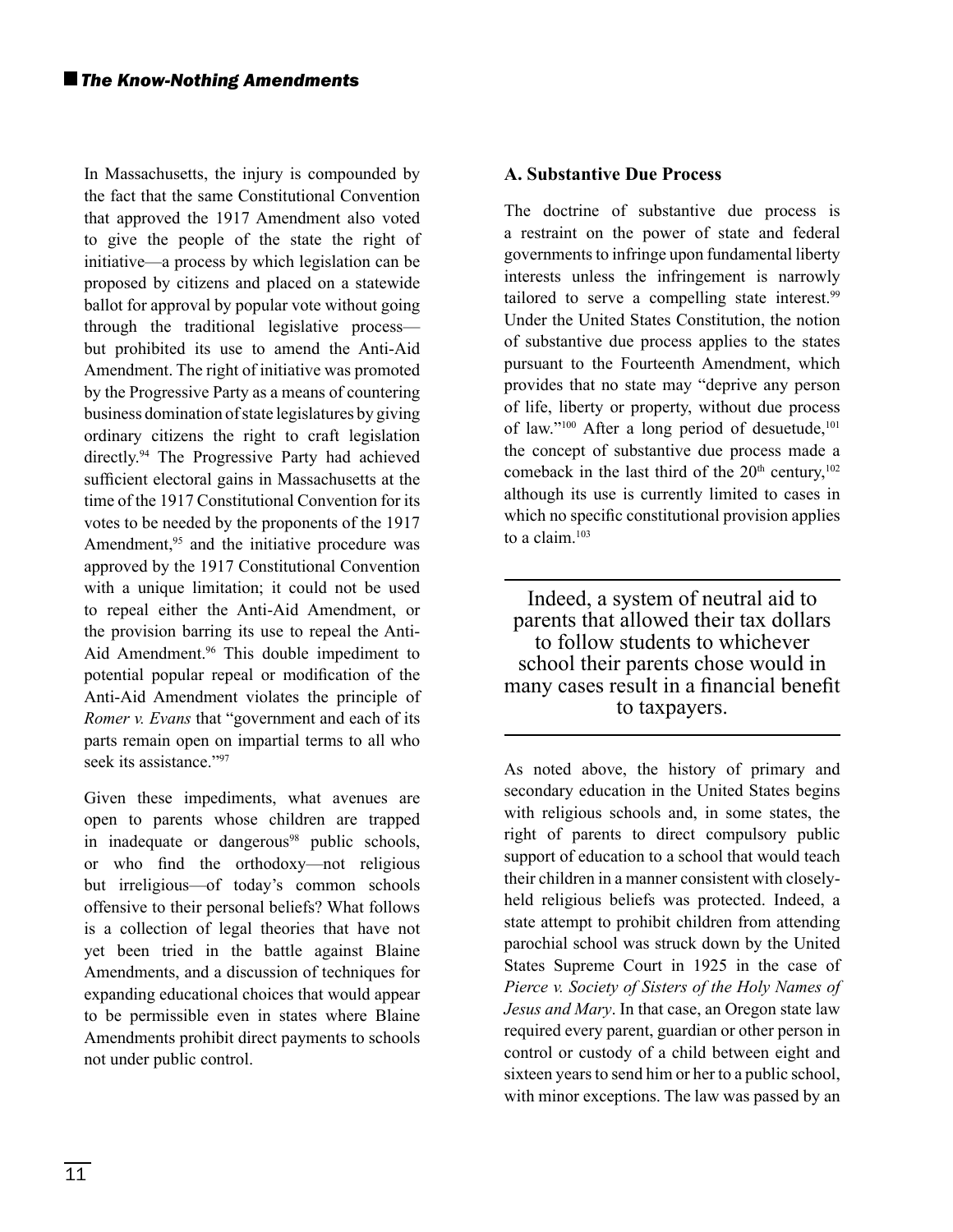In Massachusetts, the injury is compounded by the fact that the same Constitutional Convention that approved the 1917 Amendment also voted to give the people of the state the right of initiative—a process by which legislation can be proposed by citizens and placed on a statewide ballot for approval by popular vote without going through the traditional legislative process but prohibited its use to amend the Anti-Aid Amendment. The right of initiative was promoted by the Progressive Party as a means of countering business domination of state legislatures by giving ordinary citizens the right to craft legislation directly.94 The Progressive Party had achieved sufficient electoral gains in Massachusetts at the time of the 1917 Constitutional Convention for its votes to be needed by the proponents of the 1917 Amendment,<sup>95</sup> and the initiative procedure was approved by the 1917 Constitutional Convention with a unique limitation; it could not be used to repeal either the Anti-Aid Amendment, or the provision barring its use to repeal the Anti-Aid Amendment.<sup>96</sup> This double impediment to potential popular repeal or modification of the Anti-Aid Amendment violates the principle of *Romer v. Evans* that "government and each of its parts remain open on impartial terms to all who seek its assistance."<sup>97</sup>

Given these impediments, what avenues are open to parents whose children are trapped in inadequate or dangerous<sup>98</sup> public schools, or who find the orthodoxy-not religious but irreligious—of today's common schools offensive to their personal beliefs? What follows is a collection of legal theories that have not yet been tried in the battle against Blaine Amendments, and a discussion of techniques for expanding educational choices that would appear to be permissible even in states where Blaine Amendments prohibit direct payments to schools not under public control.

#### **A. Substantive Due Process**

The doctrine of substantive due process is a restraint on the power of state and federal governments to infringe upon fundamental liberty interests unless the infringement is narrowly tailored to serve a compelling state interest.<sup>99</sup> Under the United States Constitution, the notion of substantive due process applies to the states pursuant to the Fourteenth Amendment, which provides that no state may "deprive any person of life, liberty or property, without due process of law."<sup>100</sup> After a long period of desuetude,<sup>101</sup> the concept of substantive due process made a comeback in the last third of the  $20<sup>th</sup>$  century,<sup>102</sup> although its use is currently limited to cases in which no specific constitutional provision applies to a claim.103

Indeed, a system of neutral aid to parents that allowed their tax dollars to follow students to whichever school their parents chose would in many cases result in a financial benefit to taxpayers.

As noted above, the history of primary and secondary education in the United States begins with religious schools and, in some states, the right of parents to direct compulsory public support of education to a school that would teach their children in a manner consistent with closelyheld religious beliefs was protected. Indeed, a state attempt to prohibit children from attending parochial school was struck down by the United States Supreme Court in 1925 in the case of *Pierce v. Society of Sisters of the Holy Names of Jesus and Mary*. In that case, an Oregon state law required every parent, guardian or other person in control or custody of a child between eight and sixteen years to send him or her to a public school, with minor exceptions. The law was passed by an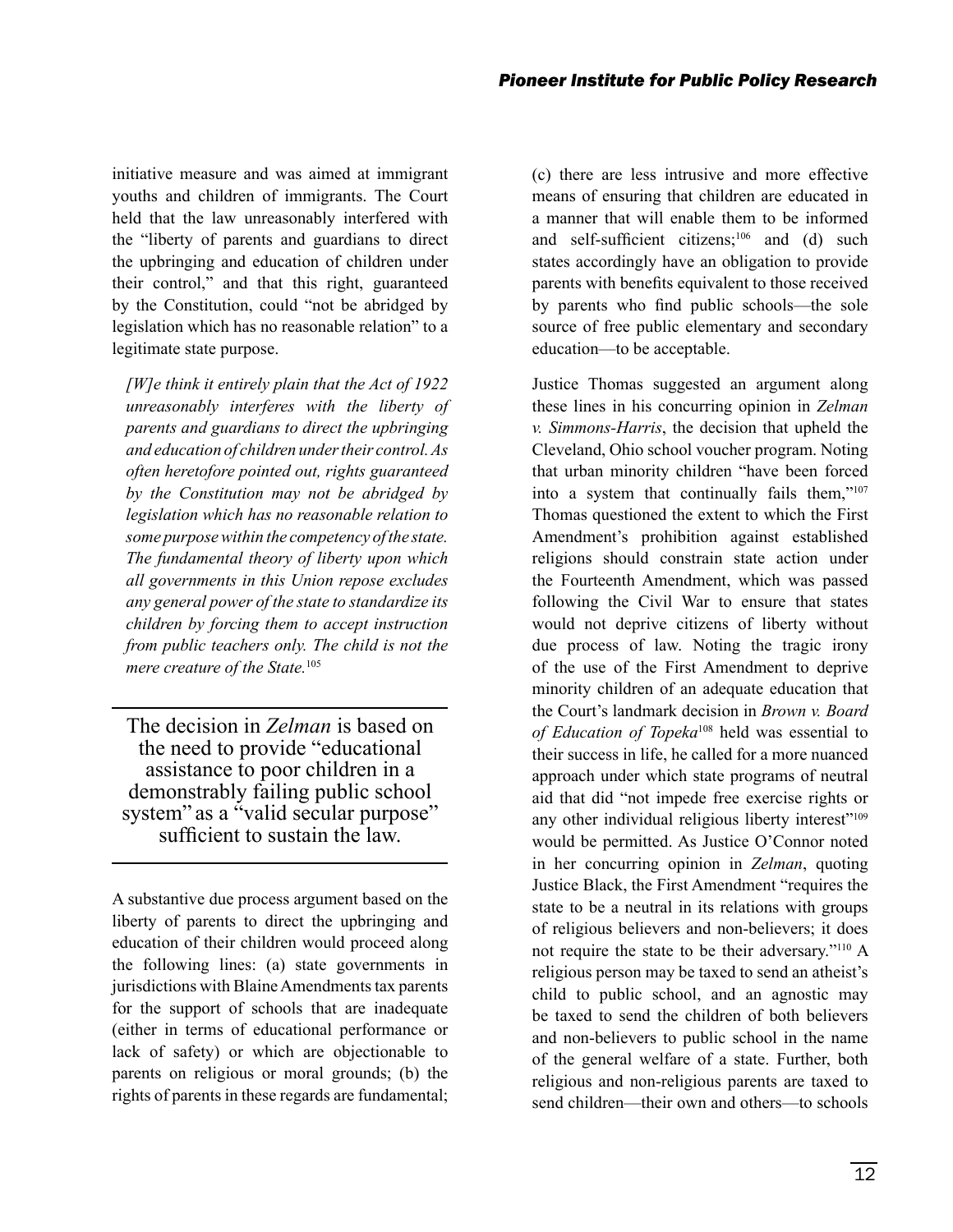initiative measure and was aimed at immigrant youths and children of immigrants. The Court held that the law unreasonably interfered with the "liberty of parents and guardians to direct the upbringing and education of children under their control," and that this right, guaranteed by the Constitution, could "not be abridged by legislation which has no reasonable relation" to a legitimate state purpose.

*[W]e think it entirely plain that the Act of 1922 unreasonably interferes with the liberty of parents and guardians to direct the upbringing and education of children under their control. As often heretofore pointed out, rights guaranteed by the Constitution may not be abridged by legislation which has no reasonable relation to some purpose within the competency of the state. The fundamental theory of liberty upon which all governments in this Union repose excludes any general power of the state to standardize its children by forcing them to accept instruction from public teachers only. The child is not the mere creature of the State.*<sup>105</sup>

The decision in *Zelman* is based on the need to provide "educational assistance to poor children in a demonstrably failing public school system" as a "valid secular purpose" sufficient to sustain the law.

A substantive due process argument based on the liberty of parents to direct the upbringing and education of their children would proceed along the following lines: (a) state governments in jurisdictions with Blaine Amendments tax parents for the support of schools that are inadequate (either in terms of educational performance or lack of safety) or which are objectionable to parents on religious or moral grounds; (b) the rights of parents in these regards are fundamental;

(c) there are less intrusive and more effective means of ensuring that children are educated in a manner that will enable them to be informed and self-sufficient citizens;<sup>106</sup> and (d) such states accordingly have an obligation to provide parents with benefits equivalent to those received by parents who find public schools—the sole source of free public elementary and secondary education—to be acceptable.

Justice Thomas suggested an argument along these lines in his concurring opinion in *Zelman v. Simmons-Harris*, the decision that upheld the Cleveland, Ohio school voucher program. Noting that urban minority children "have been forced into a system that continually fails them,"107 Thomas questioned the extent to which the First Amendment's prohibition against established religions should constrain state action under the Fourteenth Amendment, which was passed following the Civil War to ensure that states would not deprive citizens of liberty without due process of law. Noting the tragic irony of the use of the First Amendment to deprive minority children of an adequate education that the Court's landmark decision in *Brown v. Board of Education of Topeka*108 held was essential to their success in life, he called for a more nuanced approach under which state programs of neutral aid that did "not impede free exercise rights or any other individual religious liberty interest"<sup>109</sup> would be permitted. As Justice O'Connor noted in her concurring opinion in *Zelman*, quoting Justice Black, the First Amendment "requires the state to be a neutral in its relations with groups of religious believers and non-believers; it does not require the state to be their adversary."110 A religious person may be taxed to send an atheist's child to public school, and an agnostic may be taxed to send the children of both believers and non-believers to public school in the name of the general welfare of a state. Further, both religious and non-religious parents are taxed to send children—their own and others—to schools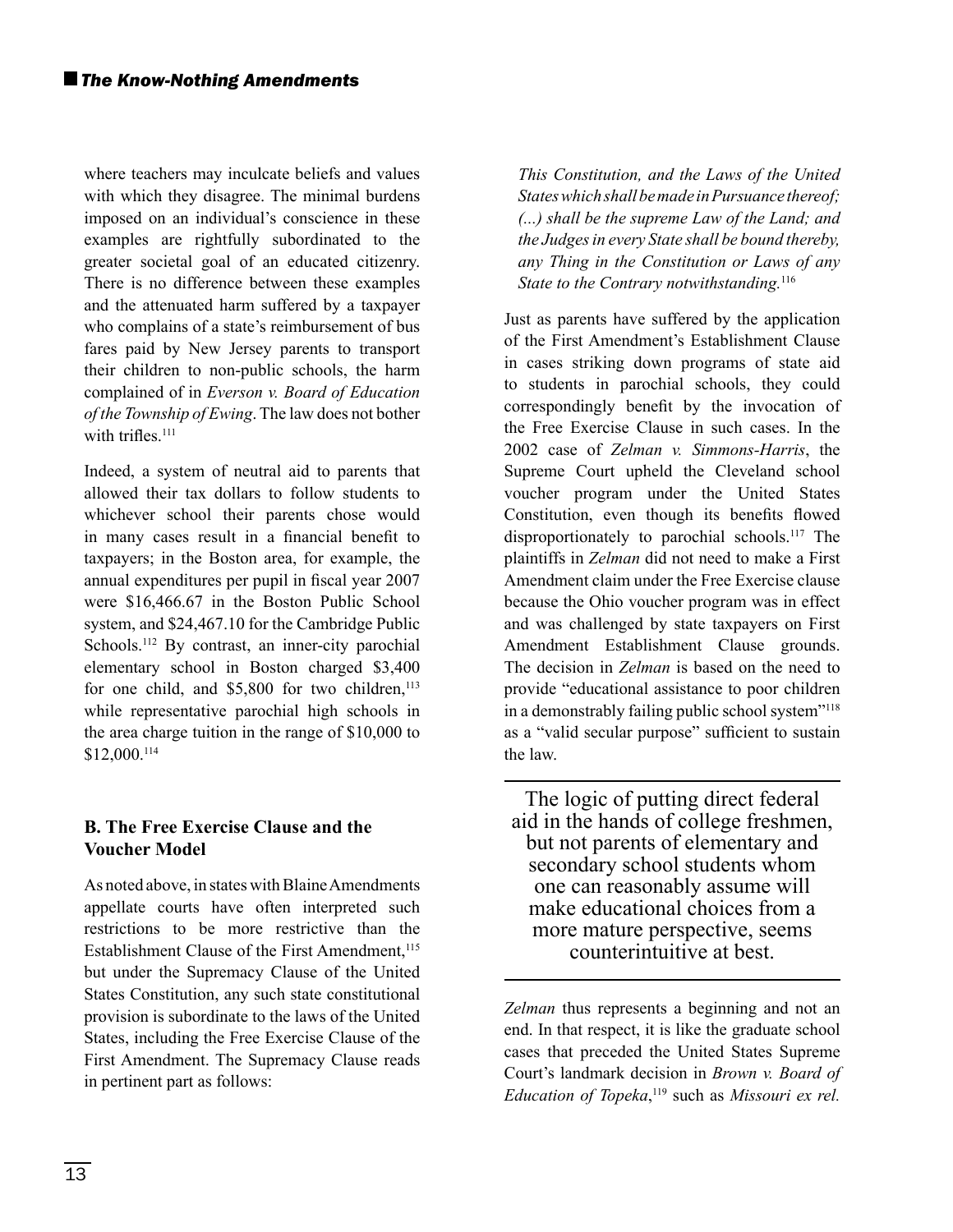where teachers may inculcate beliefs and values with which they disagree. The minimal burdens imposed on an individual's conscience in these examples are rightfully subordinated to the greater societal goal of an educated citizenry. There is no difference between these examples and the attenuated harm suffered by a taxpayer who complains of a state's reimbursement of bus fares paid by New Jersey parents to transport their children to non-public schools, the harm complained of in *Everson v. Board of Education of the Township of Ewing*. The law does not bother with trifles.<sup>111</sup>

Indeed, a system of neutral aid to parents that allowed their tax dollars to follow students to whichever school their parents chose would in many cases result in a financial benefit to taxpayers; in the Boston area, for example, the annual expenditures per pupil in fiscal year 2007 were \$16,466.67 in the Boston Public School system, and \$24,467.10 for the Cambridge Public Schools.<sup>112</sup> By contrast, an inner-city parochial elementary school in Boston charged \$3,400 for one child, and  $$5,800$  for two children,<sup>113</sup> while representative parochial high schools in the area charge tuition in the range of \$10,000 to \$12,000.114

#### **B. The Free Exercise Clause and the Voucher Model**

As noted above, in states with Blaine Amendments appellate courts have often interpreted such restrictions to be more restrictive than the Establishment Clause of the First Amendment,<sup>115</sup> but under the Supremacy Clause of the United States Constitution, any such state constitutional provision is subordinate to the laws of the United States, including the Free Exercise Clause of the First Amendment. The Supremacy Clause reads in pertinent part as follows:

*This Constitution, and the Laws of the United States which shall be made in Pursuance thereof; (...) shall be the supreme Law of the Land; and the Judges in every State shall be bound thereby, any Thing in the Constitution or Laws of any State to the Contrary notwithstanding.*<sup>116</sup>

Just as parents have suffered by the application of the First Amendment's Establishment Clause in cases striking down programs of state aid to students in parochial schools, they could correspondingly benefit by the invocation of the Free Exercise Clause in such cases. In the 2002 case of *Zelman v. Simmons-Harris*, the Supreme Court upheld the Cleveland school voucher program under the United States Constitution, even though its benefits flowed disproportionately to parochial schools.117 The plaintiffs in *Zelman* did not need to make a First Amendment claim under the Free Exercise clause because the Ohio voucher program was in effect and was challenged by state taxpayers on First Amendment Establishment Clause grounds. The decision in *Zelman* is based on the need to provide "educational assistance to poor children in a demonstrably failing public school system"118 as a "valid secular purpose" sufficient to sustain the law.

The logic of putting direct federal aid in the hands of college freshmen, but not parents of elementary and secondary school students whom one can reasonably assume will make educational choices from a more mature perspective, seems counterintuitive at best.

*Zelman* thus represents a beginning and not an end. In that respect, it is like the graduate school cases that preceded the United States Supreme Court's landmark decision in *Brown v. Board of* Education of Topeka,<sup>119</sup> such as *Missouri ex rel.*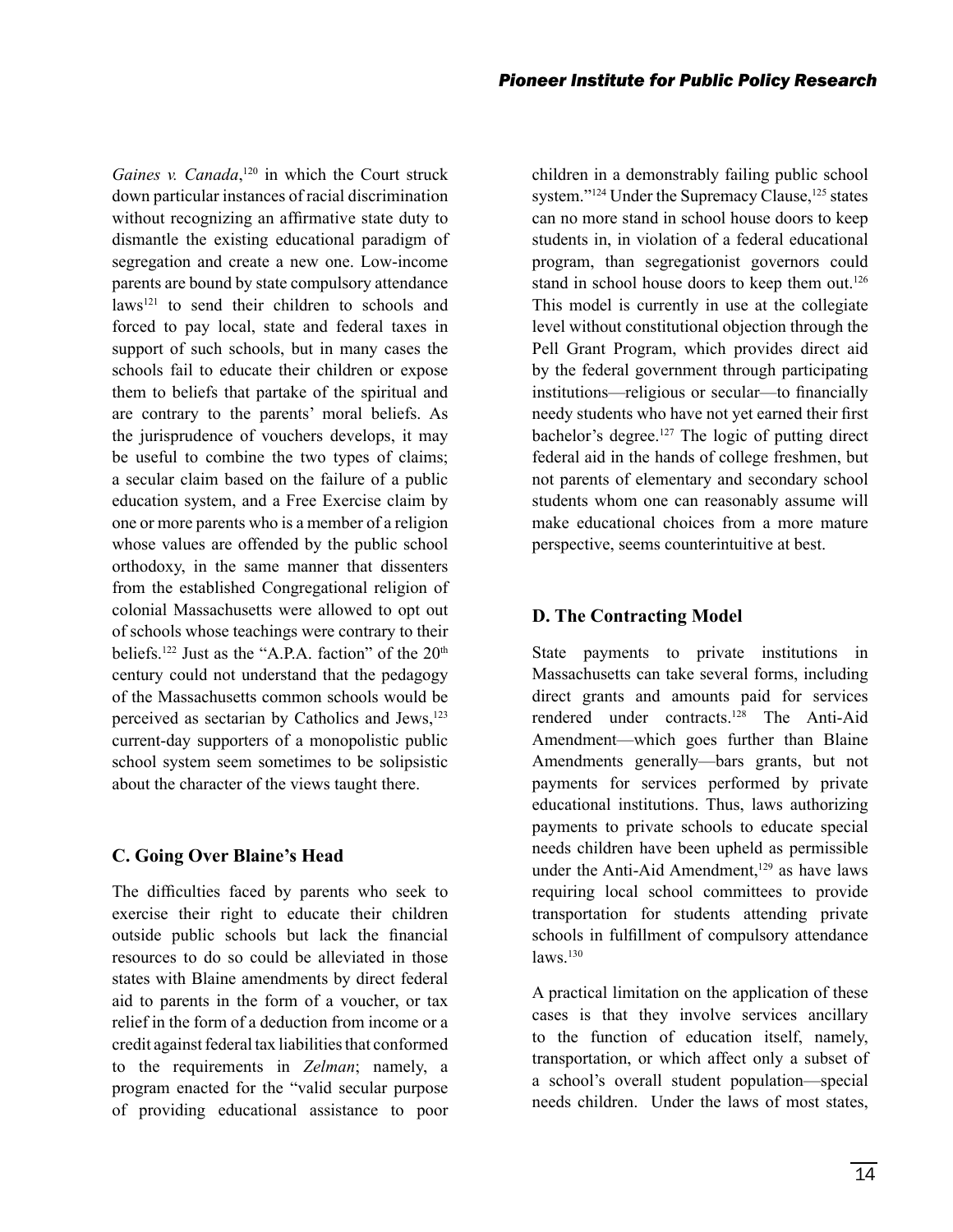Gaines v. Canada,<sup>120</sup> in which the Court struck down particular instances of racial discrimination without recognizing an affirmative state duty to dismantle the existing educational paradigm of segregation and create a new one. Low-income parents are bound by state compulsory attendance laws<sup>121</sup> to send their children to schools and forced to pay local, state and federal taxes in support of such schools, but in many cases the schools fail to educate their children or expose them to beliefs that partake of the spiritual and are contrary to the parents' moral beliefs. As the jurisprudence of vouchers develops, it may be useful to combine the two types of claims; a secular claim based on the failure of a public education system, and a Free Exercise claim by one or more parents who is a member of a religion whose values are offended by the public school orthodoxy, in the same manner that dissenters from the established Congregational religion of colonial Massachusetts were allowed to opt out of schools whose teachings were contrary to their beliefs.<sup>122</sup> Just as the "A.P.A. faction" of the  $20<sup>th</sup>$ century could not understand that the pedagogy of the Massachusetts common schools would be perceived as sectarian by Catholics and Jews,<sup>123</sup> current-day supporters of a monopolistic public school system seem sometimes to be solipsistic about the character of the views taught there.

#### **C. Going Over Blaine's Head**

The difficulties faced by parents who seek to exercise their right to educate their children outside public schools but lack the financial resources to do so could be alleviated in those states with Blaine amendments by direct federal aid to parents in the form of a voucher, or tax relief in the form of a deduction from income or a credit against federal tax liabilities that conformed to the requirements in *Zelman*; namely, a program enacted for the "valid secular purpose of providing educational assistance to poor children in a demonstrably failing public school system."<sup>124</sup> Under the Supremacy Clause,<sup>125</sup> states can no more stand in school house doors to keep students in, in violation of a federal educational program, than segregationist governors could stand in school house doors to keep them out.<sup>126</sup> This model is currently in use at the collegiate level without constitutional objection through the Pell Grant Program, which provides direct aid by the federal government through participating institutions—religious or secular—to financially needy students who have not yet earned their first bachelor's degree.<sup>127</sup> The logic of putting direct federal aid in the hands of college freshmen, but not parents of elementary and secondary school students whom one can reasonably assume will make educational choices from a more mature perspective, seems counterintuitive at best.

#### **D. The Contracting Model**

State payments to private institutions in Massachusetts can take several forms, including direct grants and amounts paid for services rendered under contracts.128 The Anti-Aid Amendment—which goes further than Blaine Amendments generally—bars grants, but not payments for services performed by private educational institutions. Thus, laws authorizing payments to private schools to educate special needs children have been upheld as permissible under the Anti-Aid Amendment,<sup>129</sup> as have laws requiring local school committees to provide transportation for students attending private schools in fulfillment of compulsory attendance  $laws.$ <sup>130</sup>

A practical limitation on the application of these cases is that they involve services ancillary to the function of education itself, namely, transportation, or which affect only a subset of a school's overall student population—special needs children. Under the laws of most states,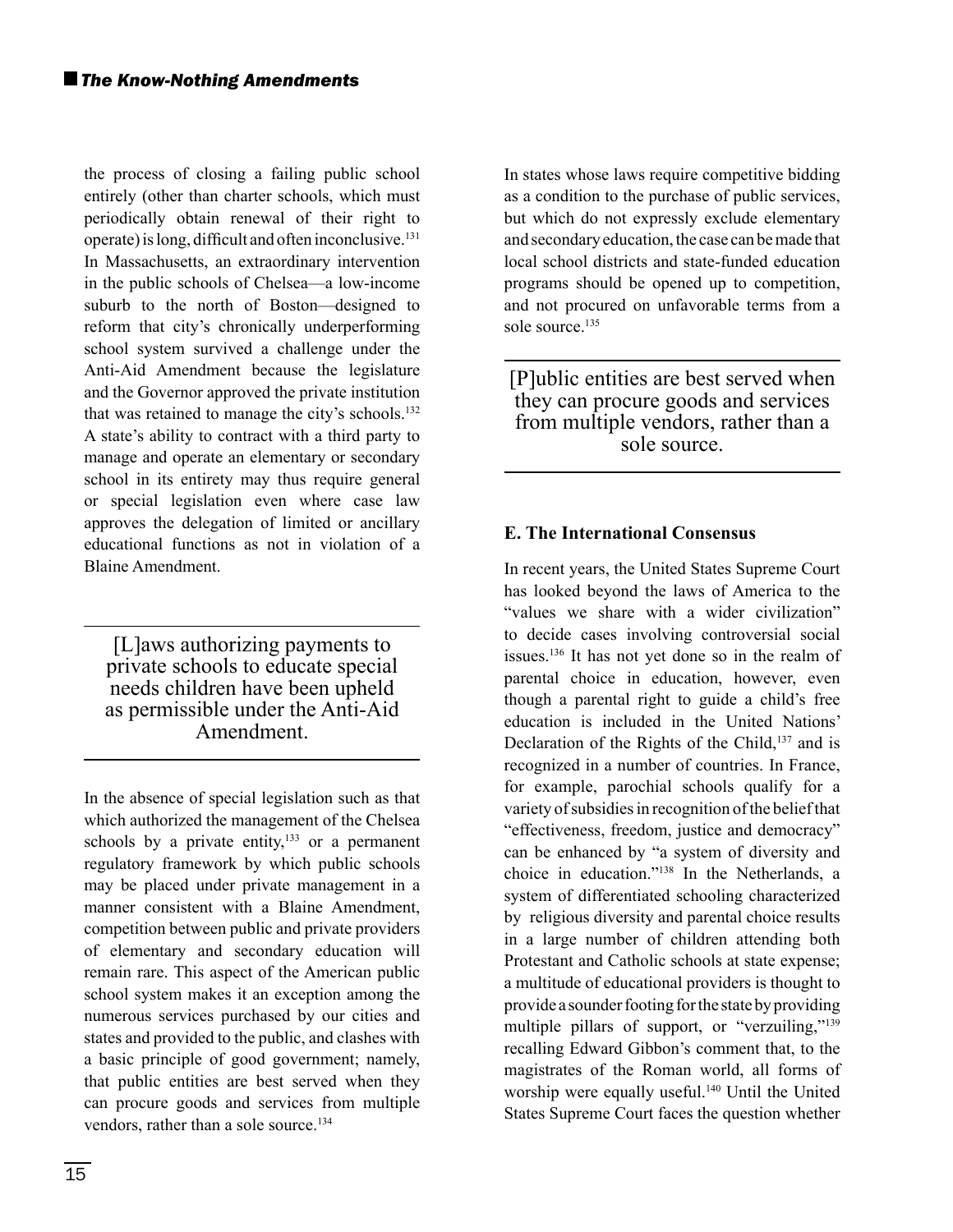the process of closing a failing public school entirely (other than charter schools, which must periodically obtain renewal of their right to operate) is long, difficult and often inconclusive.<sup>131</sup> In Massachusetts, an extraordinary intervention in the public schools of Chelsea—a low-income suburb to the north of Boston—designed to reform that city's chronically underperforming school system survived a challenge under the Anti-Aid Amendment because the legislature and the Governor approved the private institution that was retained to manage the city's schools.<sup>132</sup> A state's ability to contract with a third party to manage and operate an elementary or secondary school in its entirety may thus require general or special legislation even where case law approves the delegation of limited or ancillary educational functions as not in violation of a Blaine Amendment.

[L]aws authorizing payments to private schools to educate special needs children have been upheld as permissible under the Anti-Aid Amendment.

In the absence of special legislation such as that which authorized the management of the Chelsea schools by a private entity, $133$  or a permanent regulatory framework by which public schools may be placed under private management in a manner consistent with a Blaine Amendment, competition between public and private providers of elementary and secondary education will remain rare. This aspect of the American public school system makes it an exception among the numerous services purchased by our cities and states and provided to the public, and clashes with a basic principle of good government; namely, that public entities are best served when they can procure goods and services from multiple vendors, rather than a sole source.<sup>134</sup>

In states whose laws require competitive bidding as a condition to the purchase of public services, but which do not expressly exclude elementary and secondary education, the case can be made that local school districts and state-funded education programs should be opened up to competition, and not procured on unfavorable terms from a sole source.<sup>135</sup>

[P]ublic entities are best served when they can procure goods and services from multiple vendors, rather than a sole source.

#### **E. The International Consensus**

In recent years, the United States Supreme Court has looked beyond the laws of America to the "values we share with a wider civilization" to decide cases involving controversial social issues.136 It has not yet done so in the realm of parental choice in education, however, even though a parental right to guide a child's free education is included in the United Nations' Declaration of the Rights of the Child,<sup>137</sup> and is recognized in a number of countries. In France, for example, parochial schools qualify for a variety of subsidies in recognition of the belief that "effectiveness, freedom, justice and democracy" can be enhanced by "a system of diversity and choice in education."138 In the Netherlands, a system of differentiated schooling characterized by religious diversity and parental choice results in a large number of children attending both Protestant and Catholic schools at state expense; a multitude of educational providers is thought to provide a sounder footing for the state by providing multiple pillars of support, or "verzuiling,"<sup>139</sup> recalling Edward Gibbon's comment that, to the magistrates of the Roman world, all forms of worship were equally useful.<sup>140</sup> Until the United States Supreme Court faces the question whether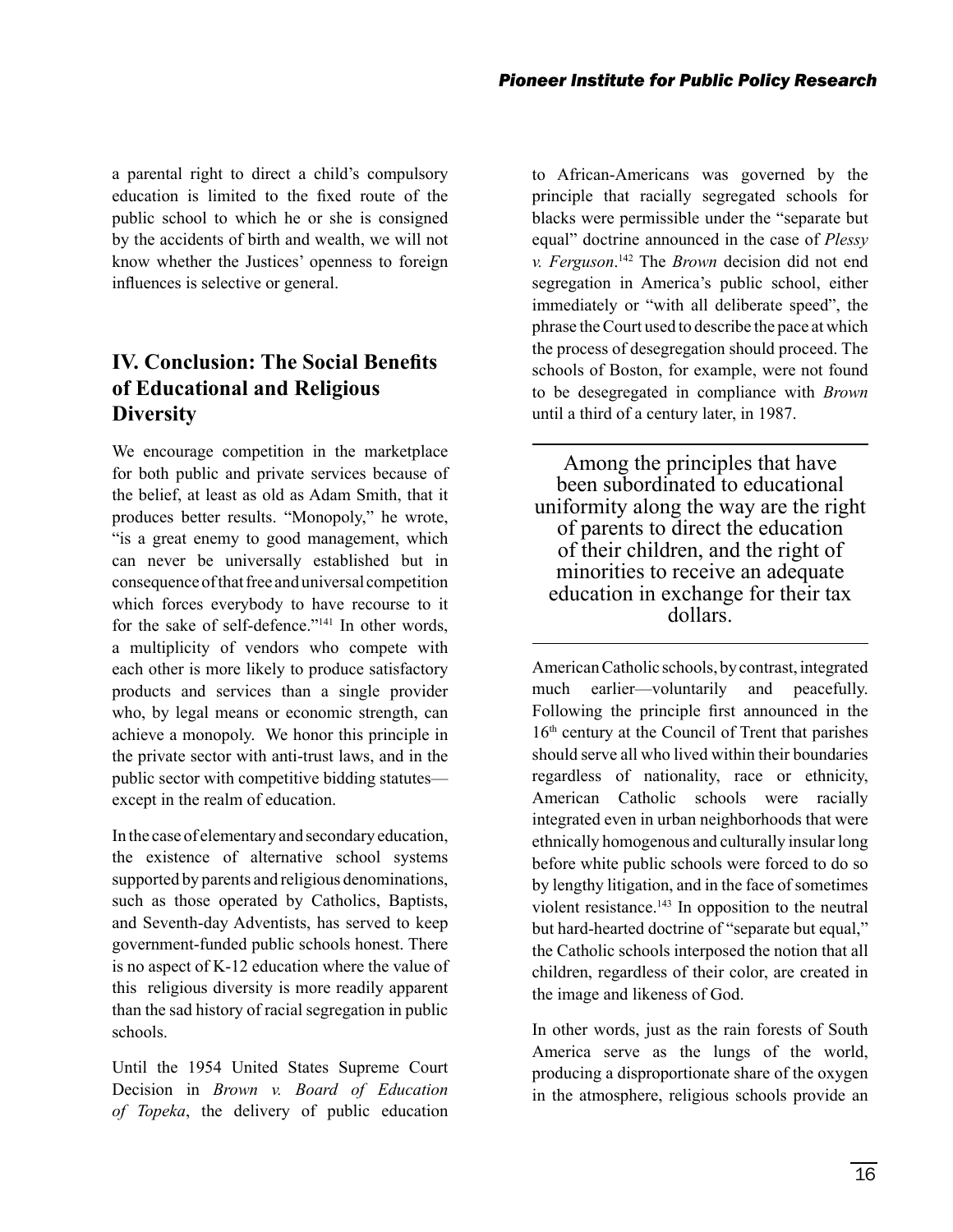a parental right to direct a child's compulsory education is limited to the fixed route of the public school to which he or she is consigned by the accidents of birth and wealth, we will not know whether the Justices' openness to foreign influences is selective or general.

# **IV. Conclusion: The Social Benefits of Educational and Religious Diversity**

We encourage competition in the marketplace for both public and private services because of the belief, at least as old as Adam Smith, that it produces better results. "Monopoly," he wrote, "is a great enemy to good management, which can never be universally established but in consequence of that free and universal competition which forces everybody to have recourse to it for the sake of self-defence."141 In other words, a multiplicity of vendors who compete with each other is more likely to produce satisfactory products and services than a single provider who, by legal means or economic strength, can achieve a monopoly. We honor this principle in the private sector with anti-trust laws, and in the public sector with competitive bidding statutes except in the realm of education.

In the case of elementary and secondary education, the existence of alternative school systems supported by parents and religious denominations, such as those operated by Catholics, Baptists, and Seventh-day Adventists, has served to keep government-funded public schools honest. There is no aspect of K-12 education where the value of this religious diversity is more readily apparent than the sad history of racial segregation in public schools.

Until the 1954 United States Supreme Court Decision in *Brown v. Board of Education of Topeka*, the delivery of public education to African-Americans was governed by the principle that racially segregated schools for blacks were permissible under the "separate but equal" doctrine announced in the case of *Plessy v. Ferguson*. 142 The *Brown* decision did not end segregation in America's public school, either immediately or "with all deliberate speed", the phrase the Court used to describe the pace at which the process of desegregation should proceed. The schools of Boston, for example, were not found to be desegregated in compliance with *Brown* until a third of a century later, in 1987.

Among the principles that have been subordinated to educational uniformity along the way are the right of parents to direct the education of their children, and the right of minorities to receive an adequate education in exchange for their tax dollars.

American Catholic schools, by contrast, integrated much earlier—voluntarily and peacefully. Following the principle first announced in the 16th century at the Council of Trent that parishes should serve all who lived within their boundaries regardless of nationality, race or ethnicity, American Catholic schools were racially integrated even in urban neighborhoods that were ethnically homogenous and culturally insular long before white public schools were forced to do so by lengthy litigation, and in the face of sometimes violent resistance.<sup>143</sup> In opposition to the neutral but hard-hearted doctrine of "separate but equal," the Catholic schools interposed the notion that all children, regardless of their color, are created in the image and likeness of God.

In other words, just as the rain forests of South America serve as the lungs of the world, producing a disproportionate share of the oxygen in the atmosphere, religious schools provide an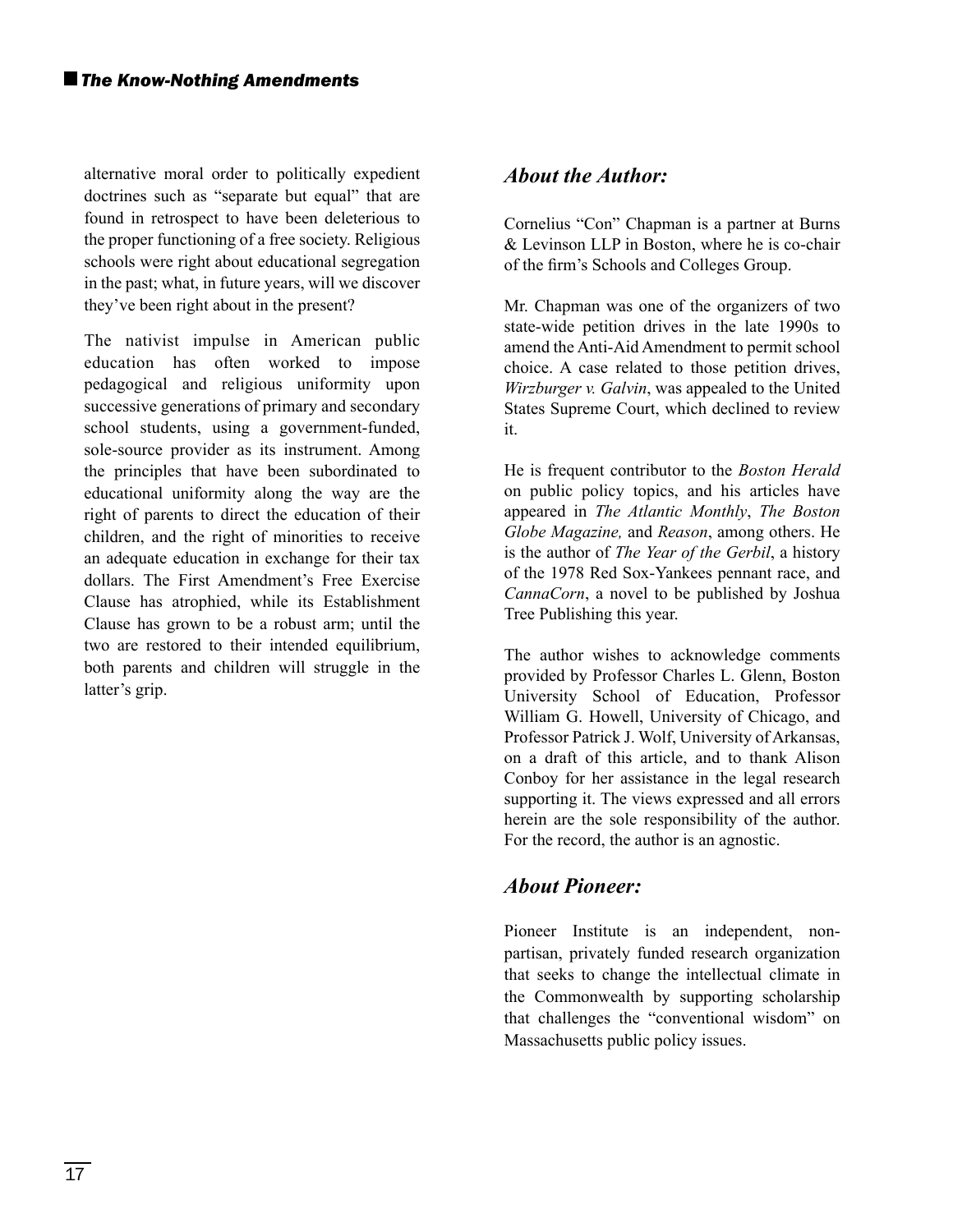alternative moral order to politically expedient doctrines such as "separate but equal" that are found in retrospect to have been deleterious to the proper functioning of a free society. Religious schools were right about educational segregation in the past; what, in future years, will we discover they've been right about in the present?

The nativist impulse in American public education has often worked to impose pedagogical and religious uniformity upon successive generations of primary and secondary school students, using a government-funded, sole-source provider as its instrument. Among the principles that have been subordinated to educational uniformity along the way are the right of parents to direct the education of their children, and the right of minorities to receive an adequate education in exchange for their tax dollars. The First Amendment's Free Exercise Clause has atrophied, while its Establishment Clause has grown to be a robust arm; until the two are restored to their intended equilibrium, both parents and children will struggle in the latter's grip.

#### *About the Author:*

Cornelius "Con" Chapman is a partner at Burns & Levinson LLP in Boston, where he is co-chair of the firm's Schools and Colleges Group.

Mr. Chapman was one of the organizers of two state-wide petition drives in the late 1990s to amend the Anti-Aid Amendment to permit school choice. A case related to those petition drives, *Wirzburger v. Galvin*, was appealed to the United States Supreme Court, which declined to review it.

He is frequent contributor to the *Boston Herald*  on public policy topics, and his articles have appeared in *The Atlantic Monthly*, *The Boston Globe Magazine,* and *Reason*, among others. He is the author of *The Year of the Gerbil*, a history of the 1978 Red Sox-Yankees pennant race, and *CannaCorn*, a novel to be published by Joshua Tree Publishing this year.

The author wishes to acknowledge comments provided by Professor Charles L. Glenn, Boston University School of Education, Professor William G. Howell, University of Chicago, and Professor Patrick J. Wolf, University of Arkansas, on a draft of this article, and to thank Alison Conboy for her assistance in the legal research supporting it. The views expressed and all errors herein are the sole responsibility of the author. For the record, the author is an agnostic.

#### *About Pioneer:*

Pioneer Institute is an independent, nonpartisan, privately funded research organization that seeks to change the intellectual climate in the Commonwealth by supporting scholarship that challenges the "conventional wisdom" on Massachusetts public policy issues.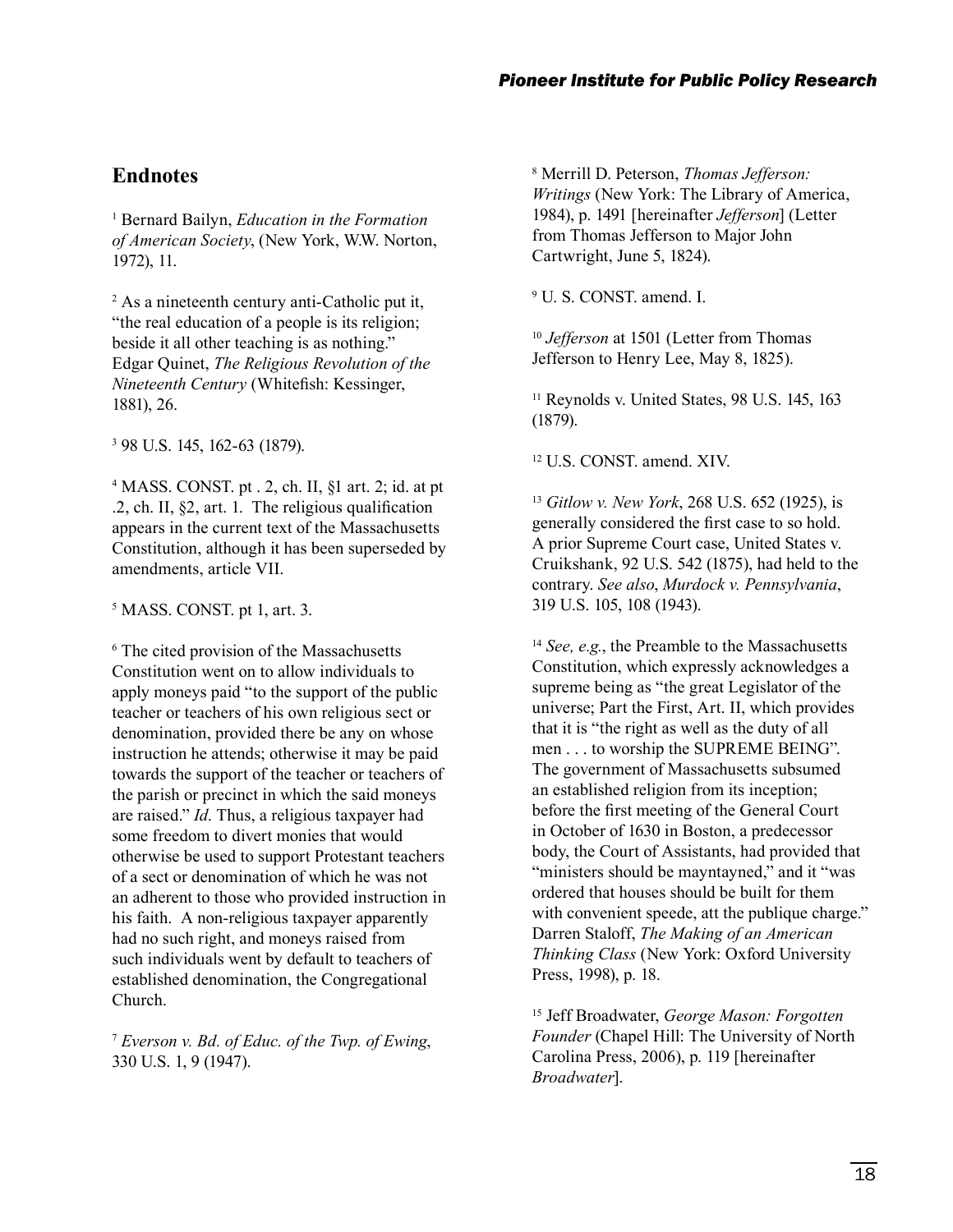### **Endnotes**

1 Bernard Bailyn, *Education in the Formation of American Society*, (New York, W.W. Norton, 1972), 11.

2 As a nineteenth century anti-Catholic put it, "the real education of a people is its religion; beside it all other teaching is as nothing." Edgar Quinet, *The Religious Revolution of the Nineteenth Century* (Whitefish: Kessinger, 1881), 26.

3 98 U.S. 145, 162-63 (1879).

4 MASS. CONST. pt . 2, ch. II, §1 art. 2; id. at pt  $\mathcal{F}$ , ch. II,  $\$ mathcal{F}, art. 1. The religious qualification appears in the current text of the Massachusetts Constitution, although it has been superseded by amendments, article VII.

5 MASS. CONST. pt 1, art. 3.

6 The cited provision of the Massachusetts Constitution went on to allow individuals to apply moneys paid "to the support of the public teacher or teachers of his own religious sect or denomination, provided there be any on whose instruction he attends; otherwise it may be paid towards the support of the teacher or teachers of the parish or precinct in which the said moneys are raised." *Id*. Thus, a religious taxpayer had some freedom to divert monies that would otherwise be used to support Protestant teachers of a sect or denomination of which he was not an adherent to those who provided instruction in his faith. A non-religious taxpayer apparently had no such right, and moneys raised from such individuals went by default to teachers of established denomination, the Congregational Church.

<sup>7</sup> *Everson v. Bd. of Educ. of the Twp. of Ewing*, 330 U.S. 1, 9 (1947).

8 Merrill D. Peterson, *Thomas Jefferson: Writings* (New York: The Library of America, 1984), p. 1491 [hereinafter *Jefferson*] (Letter from Thomas Jefferson to Major John Cartwright, June 5, 1824).

9 U. S. CONST. amend. I.

<sup>10</sup> *Jefferson* at 1501 (Letter from Thomas Jefferson to Henry Lee, May 8, 1825).

<sup>11</sup> Reynolds v. United States, 98 U.S. 145, 163 (1879).

12 U.S. CONST. amend. XIV.

<sup>13</sup> *Gitlow v. New York*, 268 U.S. 652 (1925), is generally considered the first case to so hold. A prior Supreme Court case, United States v. Cruikshank, 92 U.S. 542 (1875), had held to the contrary. *See also*, *Murdock v. Pennsylvania*, 319 U.S. 105, 108 (1943).

<sup>14</sup> *See, e.g.*, the Preamble to the Massachusetts Constitution, which expressly acknowledges a supreme being as "the great Legislator of the universe; Part the First, Art. II, which provides that it is "the right as well as the duty of all men . . . to worship the SUPREME BEING". The government of Massachusetts subsumed an established religion from its inception; before the first meeting of the General Court in October of 1630 in Boston, a predecessor body, the Court of Assistants, had provided that "ministers should be mayntayned," and it "was" ordered that houses should be built for them with convenient speede, att the publique charge." Darren Staloff, *The Making of an American Thinking Class* (New York: Oxford University Press, 1998), p. 18.

15 Jeff Broadwater, *George Mason: Forgotten Founder* (Chapel Hill: The University of North Carolina Press, 2006), p. 119 [hereinafter *Broadwater*].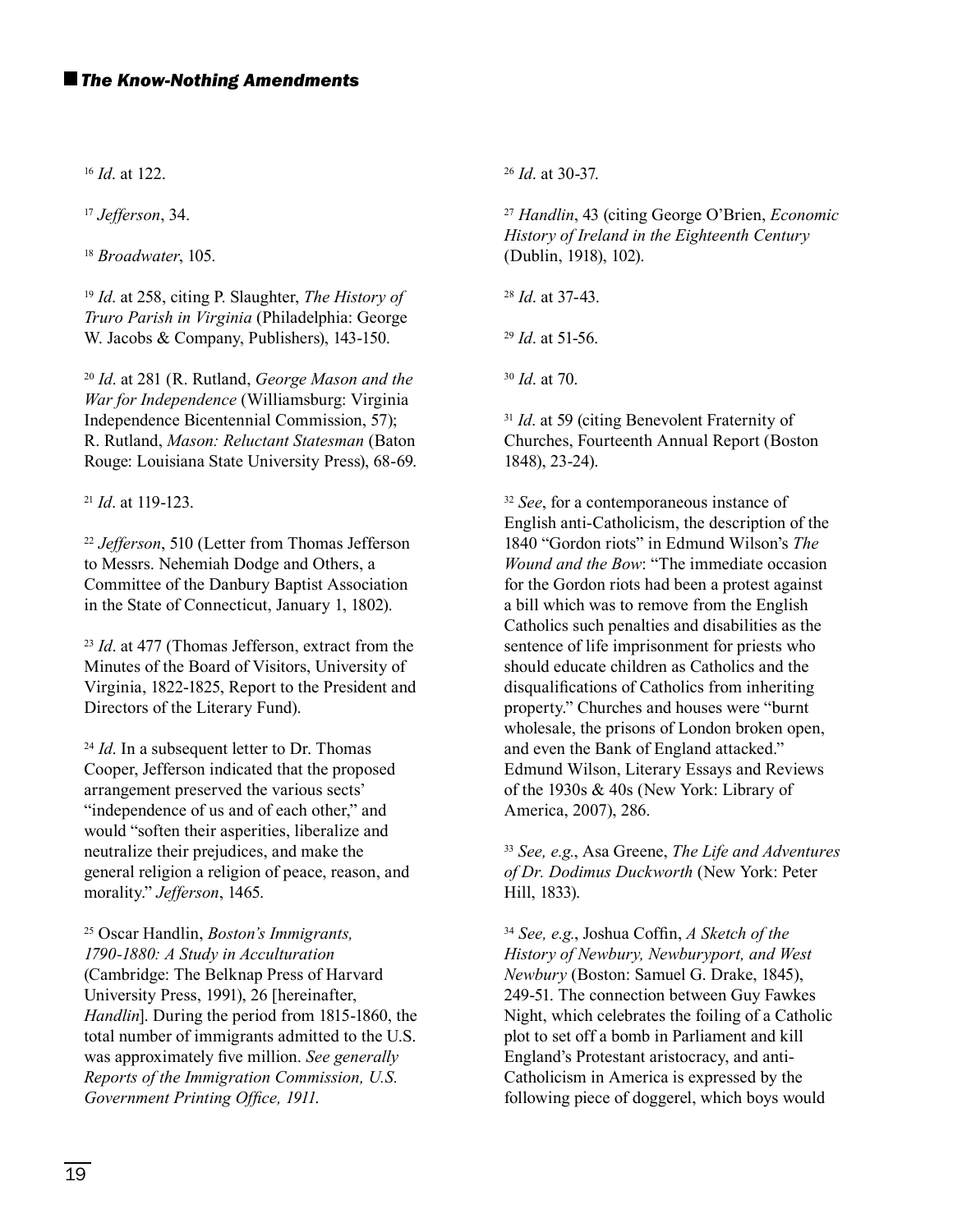<sup>16</sup> *Id*. at 122.

<sup>17</sup> *Jefferson*, 34.

<sup>18</sup> *Broadwater*, 105.

<sup>19</sup> *Id*. at 258, citing P. Slaughter, *The History of Truro Parish in Virginia* (Philadelphia: George W. Jacobs & Company, Publishers), 143-150.

<sup>20</sup> *Id*. at 281 (R. Rutland, *George Mason and the War for Independence* (Williamsburg: Virginia Independence Bicentennial Commission, 57); R. Rutland, *Mason: Reluctant Statesman* (Baton Rouge: Louisiana State University Press), 68-69.

<sup>21</sup> *Id*. at 119-123.

<sup>22</sup> *Jefferson*, 510 (Letter from Thomas Jefferson to Messrs. Nehemiah Dodge and Others, a Committee of the Danbury Baptist Association in the State of Connecticut, January 1, 1802).

<sup>23</sup> *Id*. at 477 (Thomas Jefferson, extract from the Minutes of the Board of Visitors, University of Virginia, 1822-1825, Report to the President and Directors of the Literary Fund).

<sup>24</sup> *Id*. In a subsequent letter to Dr. Thomas Cooper, Jefferson indicated that the proposed arrangement preserved the various sects' "independence of us and of each other," and would "soften their asperities, liberalize and neutralize their prejudices, and make the general religion a religion of peace, reason, and morality." *Jefferson*, 1465.

25 Oscar Handlin, *Boston's Immigrants, 1790-1880: A Study in Acculturation* (Cambridge: The Belknap Press of Harvard University Press, 1991), 26 [hereinafter, *Handlin*]. During the period from 1815-1860, the total number of immigrants admitted to the U.S. was approximately five million. See generally *Reports of the Immigration Commission, U.S.*  Government Printing Office, 1911.

<sup>26</sup> *Id*. at 30-37.

<sup>27</sup> *Handlin*, 43 (citing George O'Brien, *Economic History of Ireland in the Eighteenth Century* (Dublin, 1918), 102).

<sup>28</sup> *Id*. at 37-43.

<sup>29</sup> *Id*. at 51-56.

<sup>30</sup> *Id*. at 70.

<sup>31</sup> *Id.* at 59 (citing Benevolent Fraternity of Churches, Fourteenth Annual Report (Boston 1848), 23-24).

<sup>32</sup> *See*, for a contemporaneous instance of English anti-Catholicism, the description of the 1840 "Gordon riots" in Edmund Wilson's *The Wound and the Bow*: "The immediate occasion for the Gordon riots had been a protest against a bill which was to remove from the English Catholics such penalties and disabilities as the sentence of life imprisonment for priests who should educate children as Catholics and the disqualifications of Catholics from inheriting property." Churches and houses were "burnt wholesale, the prisons of London broken open, and even the Bank of England attacked." Edmund Wilson, Literary Essays and Reviews of the 1930s & 40s (New York: Library of America, 2007), 286.

<sup>33</sup> *See, e.g.*, Asa Greene, *The Life and Adventures of Dr. Dodimus Duckworth* (New York: Peter Hill, 1833).

<sup>34</sup> *See, e.g., Joshua Coffin, A Sketch of the History of Newbury, Newburyport, and West Newbury* (Boston: Samuel G. Drake, 1845), 249-51. The connection between Guy Fawkes Night, which celebrates the foiling of a Catholic plot to set off a bomb in Parliament and kill England's Protestant aristocracy, and anti-Catholicism in America is expressed by the following piece of doggerel, which boys would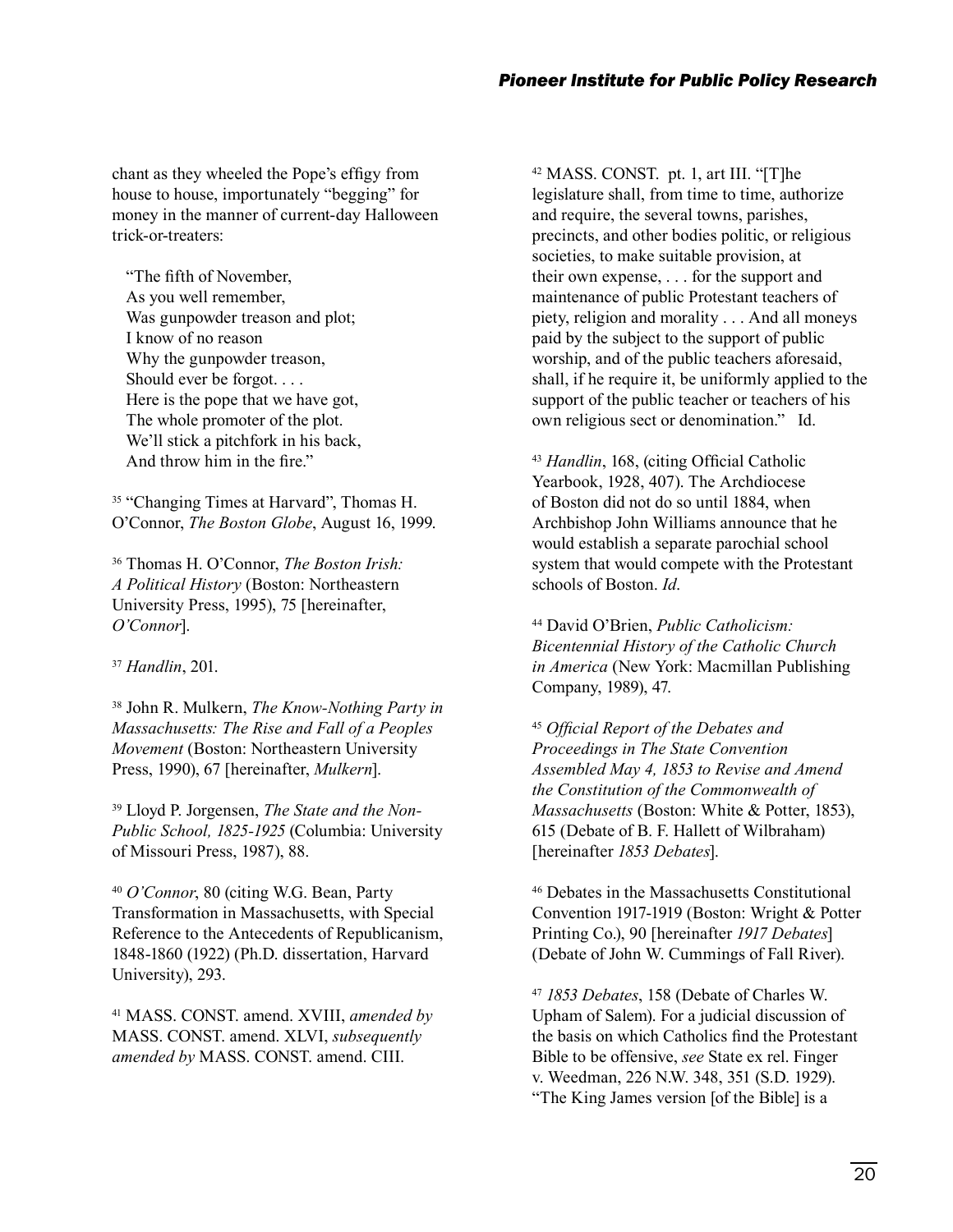chant as they wheeled the Pope's effigy from house to house, importunately "begging" for money in the manner of current-day Halloween trick-or-treaters:

"The fifth of November. As you well remember, Was gunpowder treason and plot; I know of no reason Why the gunpowder treason, Should ever be forgot. . . . Here is the pope that we have got, The whole promoter of the plot. We'll stick a pitchfork in his back, And throw him in the fire."

<sup>35</sup> "Changing Times at Harvard", Thomas H. O'Connor, *The Boston Globe*, August 16, 1999.

36 Thomas H. O'Connor, *The Boston Irish: A Political History* (Boston: Northeastern University Press, 1995), 75 [hereinafter, *O'Connor*].

<sup>37</sup> *Handlin*, 201.

38 John R. Mulkern, *The Know-Nothing Party in Massachusetts: The Rise and Fall of a Peoples Movement* (Boston: Northeastern University Press, 1990), 67 [hereinafter, *Mulkern*].

39 Lloyd P. Jorgensen, *The State and the Non-Public School, 1825-1925* (Columbia: University of Missouri Press, 1987), 88.

<sup>40</sup> *O'Connor*, 80 (citing W.G. Bean, Party Transformation in Massachusetts, with Special Reference to the Antecedents of Republicanism, 1848-1860 (1922) (Ph.D. dissertation, Harvard University), 293.

41 MASS. CONST. amend. XVIII, *amended by* MASS. CONST. amend. XLVI, *subsequently amended by* MASS. CONST. amend. CIII.

42 MASS. CONST. pt. 1, art III. "[T]he legislature shall, from time to time, authorize and require, the several towns, parishes, precincts, and other bodies politic, or religious societies, to make suitable provision, at their own expense, . . . for the support and maintenance of public Protestant teachers of piety, religion and morality . . . And all moneys paid by the subject to the support of public worship, and of the public teachers aforesaid, shall, if he require it, be uniformly applied to the support of the public teacher or teachers of his own religious sect or denomination." Id.

<sup>43</sup> *Handlin*, 168, (citing Official Catholic Yearbook, 1928, 407). The Archdiocese of Boston did not do so until 1884, when Archbishop John Williams announce that he would establish a separate parochial school system that would compete with the Protestant schools of Boston. *Id*.

44 David O'Brien, *Public Catholicism: Bicentennial History of the Catholic Church in America* (New York: Macmillan Publishing Company, 1989), 47.

<sup>45</sup> Official Report of the Debates and *Proceedings in The State Convention Assembled May 4, 1853 to Revise and Amend the Constitution of the Commonwealth of Massachusetts* (Boston: White & Potter, 1853), 615 (Debate of B. F. Hallett of Wilbraham) [hereinafter *1853 Debates*].

46 Debates in the Massachusetts Constitutional Convention 1917-1919 (Boston: Wright & Potter Printing Co.), 90 [hereinafter *1917 Debates*] (Debate of John W. Cummings of Fall River).

<sup>47</sup> *1853 Debates*, 158 (Debate of Charles W. Upham of Salem). For a judicial discussion of the basis on which Catholics find the Protestant Bible to be offensive, *see* State ex rel. Finger v. Weedman, 226 N.W. 348, 351 (S.D. 1929). "The King James version [of the Bible] is a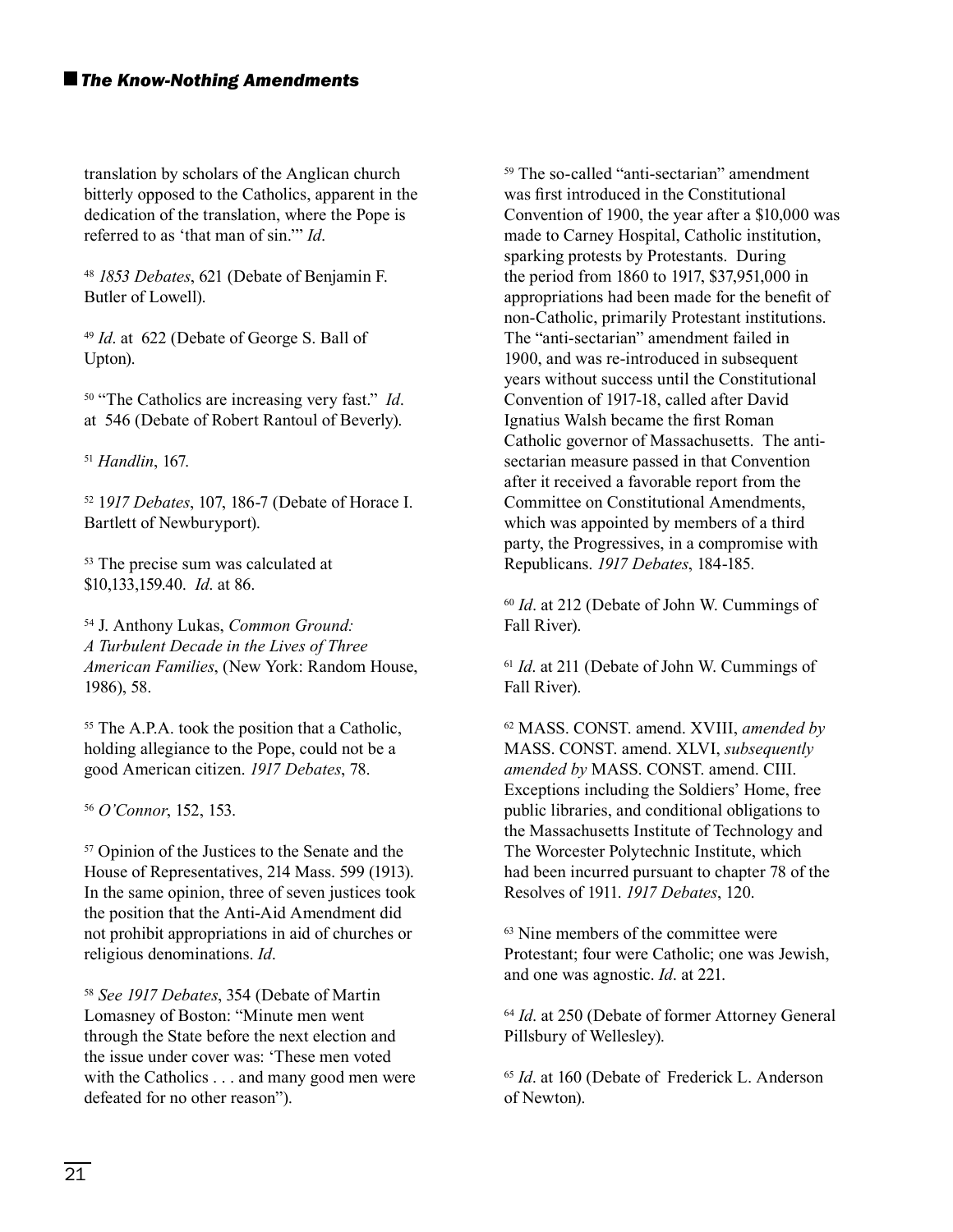translation by scholars of the Anglican church bitterly opposed to the Catholics, apparent in the dedication of the translation, where the Pope is referred to as 'that man of sin.'" *Id*.

<sup>48</sup> *1853 Debates*, 621 (Debate of Benjamin F. Butler of Lowell).

<sup>49</sup> *Id*. at 622 (Debate of George S. Ball of Upton).

50 "The Catholics are increasing very fast." *Id*. at 546 (Debate of Robert Rantoul of Beverly).

<sup>51</sup> *Handlin*, 167.

52 1*917 Debates*, 107, 186-7 (Debate of Horace I. Bartlett of Newburyport).

53 The precise sum was calculated at \$10,133,159.40. *Id*. at 86.

54 J. Anthony Lukas, *Common Ground: A Turbulent Decade in the Lives of Three American Families*, (New York: Random House, 1986), 58.

<sup>55</sup> The A.P.A. took the position that a Catholic, holding allegiance to the Pope, could not be a good American citizen. *1917 Debates*, 78.

<sup>56</sup> *O'Connor*, 152, 153.

57 Opinion of the Justices to the Senate and the House of Representatives, 214 Mass. 599 (1913). In the same opinion, three of seven justices took the position that the Anti-Aid Amendment did not prohibit appropriations in aid of churches or religious denominations. *Id*.

<sup>58</sup> *See 1917 Debates*, 354 (Debate of Martin Lomasney of Boston: "Minute men went through the State before the next election and the issue under cover was: 'These men voted with the Catholics . . . and many good men were defeated for no other reason").

59 The so-called "anti-sectarian" amendment was first introduced in the Constitutional Convention of 1900, the year after a \$10,000 was made to Carney Hospital, Catholic institution, sparking protests by Protestants. During the period from 1860 to 1917, \$37,951,000 in appropriations had been made for the benefit of non-Catholic, primarily Protestant institutions. The "anti-sectarian" amendment failed in 1900, and was re-introduced in subsequent years without success until the Constitutional Convention of 1917-18, called after David Ignatius Walsh became the first Roman Catholic governor of Massachusetts. The antisectarian measure passed in that Convention after it received a favorable report from the Committee on Constitutional Amendments, which was appointed by members of a third party, the Progressives, in a compromise with Republicans. *1917 Debates*, 184-185.

<sup>60</sup> *Id*. at 212 (Debate of John W. Cummings of Fall River).

<sup>61</sup> *Id*. at 211 (Debate of John W. Cummings of Fall River).

62 MASS. CONST. amend. XVIII, *amended by* MASS. CONST. amend. XLVI, *subsequently amended by* MASS. CONST. amend. CIII. Exceptions including the Soldiers' Home, free public libraries, and conditional obligations to the Massachusetts Institute of Technology and The Worcester Polytechnic Institute, which had been incurred pursuant to chapter 78 of the Resolves of 1911. *1917 Debates*, 120.

<sup>63</sup> Nine members of the committee were Protestant; four were Catholic; one was Jewish, and one was agnostic. *Id*. at 221.

<sup>64</sup> *Id*. at 250 (Debate of former Attorney General Pillsbury of Wellesley).

<sup>65</sup> *Id*. at 160 (Debate of Frederick L. Anderson of Newton).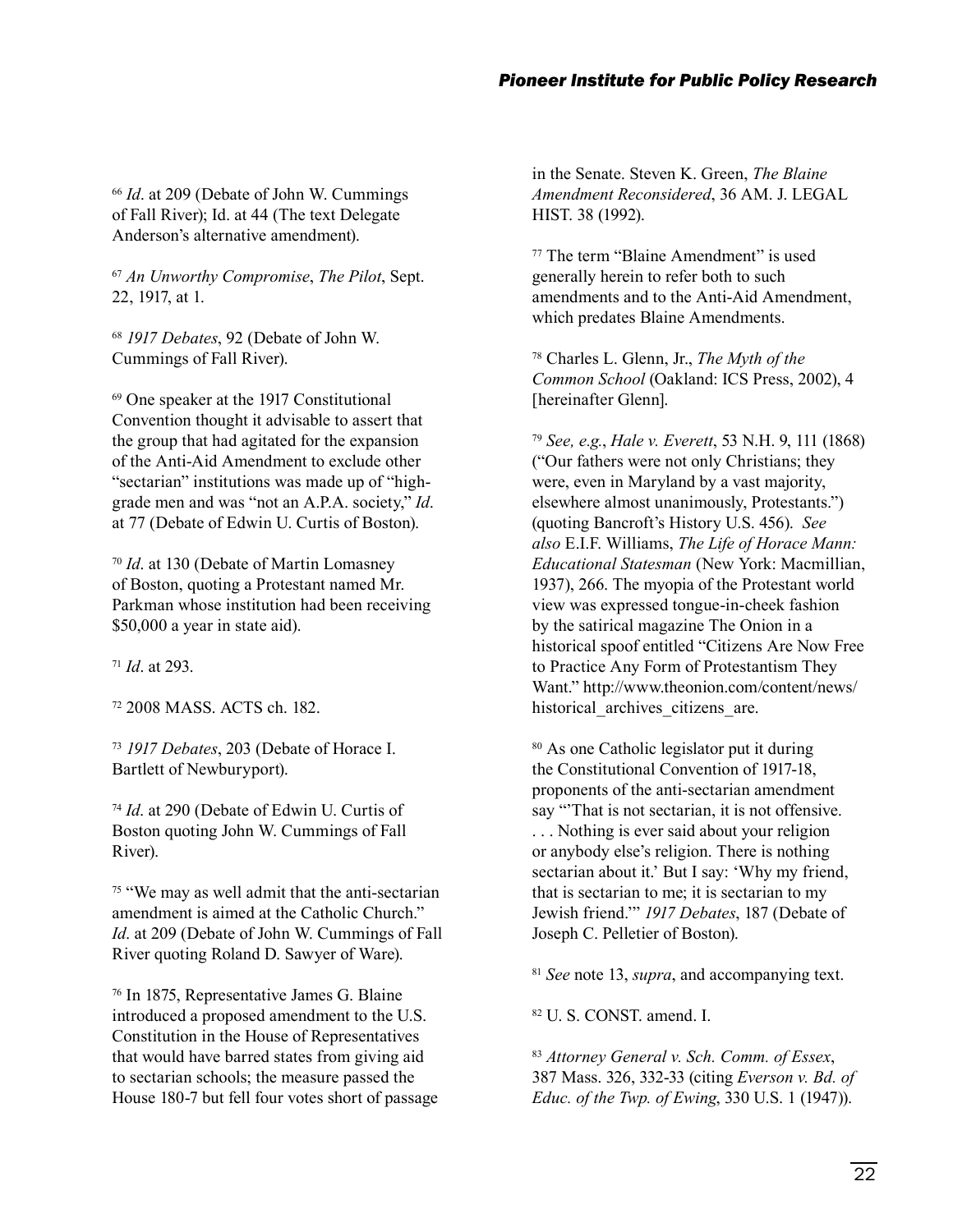<sup>66</sup> *Id*. at 209 (Debate of John W. Cummings of Fall River); Id. at 44 (The text Delegate Anderson's alternative amendment).

<sup>67</sup> *An Unworthy Compromise*, *The Pilot*, Sept. 22, 1917, at 1.

<sup>68</sup> *1917 Debates*, 92 (Debate of John W. Cummings of Fall River).

69 One speaker at the 1917 Constitutional Convention thought it advisable to assert that the group that had agitated for the expansion of the Anti-Aid Amendment to exclude other "sectarian" institutions was made up of "highgrade men and was "not an A.P.A. society," *Id*. at 77 (Debate of Edwin U. Curtis of Boston).

<sup>70</sup> *Id*. at 130 (Debate of Martin Lomasney of Boston, quoting a Protestant named Mr. Parkman whose institution had been receiving \$50,000 a year in state aid).

<sup>71</sup> *Id*. at 293.

72 2008 MASS. ACTS ch. 182.

<sup>73</sup> *1917 Debates*, 203 (Debate of Horace I. Bartlett of Newburyport).

<sup>74</sup> *Id*. at 290 (Debate of Edwin U. Curtis of Boston quoting John W. Cummings of Fall River).

75 "We may as well admit that the anti-sectarian amendment is aimed at the Catholic Church." *Id*. at 209 (Debate of John W. Cummings of Fall River quoting Roland D. Sawyer of Ware).

76 In 1875, Representative James G. Blaine introduced a proposed amendment to the U.S. Constitution in the House of Representatives that would have barred states from giving aid to sectarian schools; the measure passed the House 180-7 but fell four votes short of passage

in the Senate. Steven K. Green, *The Blaine Amendment Reconsidered*, 36 AM. J. LEGAL HIST. 38 (1992).

77 The term "Blaine Amendment" is used generally herein to refer both to such amendments and to the Anti-Aid Amendment, which predates Blaine Amendments.

78 Charles L. Glenn, Jr., *The Myth of the Common School* (Oakland: ICS Press, 2002), 4 [hereinafter Glenn].

<sup>79</sup> *See, e.g.*, *Hale v. Everett*, 53 N.H. 9, 111 (1868) ("Our fathers were not only Christians; they were, even in Maryland by a vast majority, elsewhere almost unanimously, Protestants.") (quoting Bancroft's History U.S. 456). *See also* E.I.F. Williams, *The Life of Horace Mann: Educational Statesman* (New York: Macmillian, 1937), 266. The myopia of the Protestant world view was expressed tongue-in-cheek fashion by the satirical magazine The Onion in a historical spoof entitled "Citizens Are Now Free to Practice Any Form of Protestantism They Want." http://www.theonion.com/content/news/ historical archives citizens are.

80 As one Catholic legislator put it during the Constitutional Convention of 1917-18, proponents of the anti-sectarian amendment say "That is not sectarian, it is not offensive. . . . Nothing is ever said about your religion or anybody else's religion. There is nothing sectarian about it.' But I say: 'Why my friend, that is sectarian to me; it is sectarian to my Jewish friend.'" *1917 Debates*, 187 (Debate of Joseph C. Pelletier of Boston).

<sup>81</sup> *See* note 13, *supra*, and accompanying text.

82 U. S. CONST. amend. I.

<sup>83</sup> *Attorney General v. Sch. Comm. of Essex*, 387 Mass. 326, 332-33 (citing *Everson v. Bd. of Educ. of the Twp. of Ewing*, 330 U.S. 1 (1947)).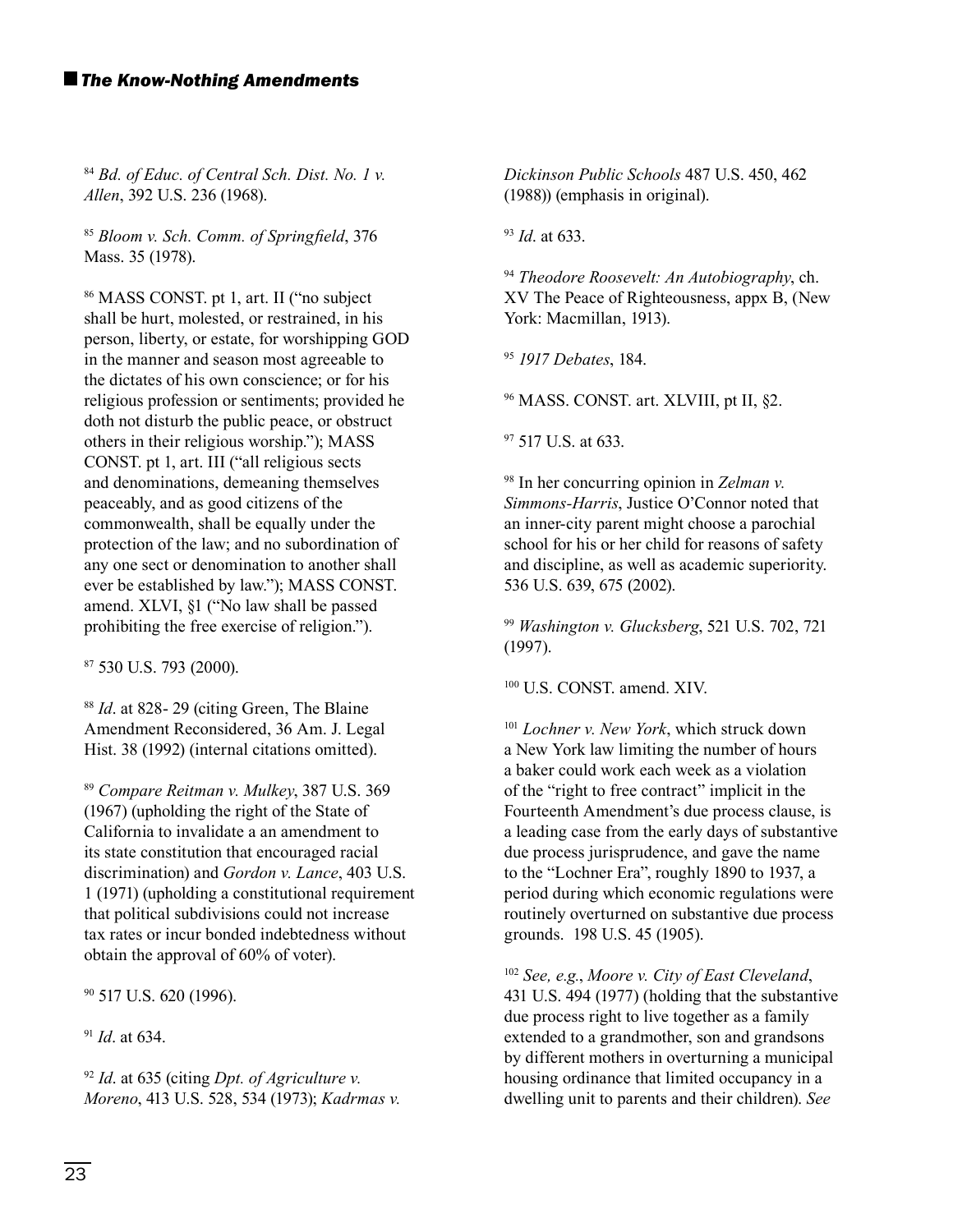<sup>84</sup> *Bd. of Educ. of Central Sch. Dist. No. 1 v. Allen*, 392 U.S. 236 (1968).

<sup>85</sup> Bloom v. Sch. Comm. of Springfield, 376 Mass. 35 (1978).

86 MASS CONST. pt 1, art. II ("no subject shall be hurt, molested, or restrained, in his person, liberty, or estate, for worshipping GOD in the manner and season most agreeable to the dictates of his own conscience; or for his religious profession or sentiments; provided he doth not disturb the public peace, or obstruct others in their religious worship."); MASS CONST. pt 1, art. III ("all religious sects and denominations, demeaning themselves peaceably, and as good citizens of the commonwealth, shall be equally under the protection of the law; and no subordination of any one sect or denomination to another shall ever be established by law."); MASS CONST. amend. XLVI, §1 ("No law shall be passed prohibiting the free exercise of religion.").

87 530 U.S. 793 (2000).

<sup>88</sup> *Id*. at 828- 29 (citing Green, The Blaine Amendment Reconsidered, 36 Am. J. Legal Hist. 38 (1992) (internal citations omitted).

<sup>89</sup> *Compare Reitman v. Mulkey*, 387 U.S. 369 (1967) (upholding the right of the State of California to invalidate a an amendment to its state constitution that encouraged racial discrimination) and *Gordon v. Lance*, 403 U.S. 1 (1971) (upholding a constitutional requirement that political subdivisions could not increase tax rates or incur bonded indebtedness without obtain the approval of 60% of voter).

90 517 U.S. 620 (1996).

<sup>91</sup> *Id*. at 634.

<sup>92</sup> *Id*. at 635 (citing *Dpt. of Agriculture v. Moreno*, 413 U.S. 528, 534 (1973); *Kadrmas v.*  *Dickinson Public Schools* 487 U.S. 450, 462 (1988)) (emphasis in original).

<sup>93</sup> *Id*. at 633.

<sup>94</sup> *Theodore Roosevelt: An Autobiography*, ch. XV The Peace of Righteousness, appx B, (New York: Macmillan, 1913).

<sup>95</sup> *1917 Debates*, 184.

96 MASS. CONST. art. XLVIII, pt II, §2.

<sup>97</sup> 517 U.S. at 633.

98 In her concurring opinion in *Zelman v. Simmons-Harris*, Justice O'Connor noted that an inner-city parent might choose a parochial school for his or her child for reasons of safety and discipline, as well as academic superiority. 536 U.S. 639, 675 (2002).

<sup>99</sup> *Washington v. Glucksberg*, 521 U.S. 702, 721 (1997).

100 U.S. CONST. amend. XIV.

<sup>101</sup> *Lochner v. New York*, which struck down a New York law limiting the number of hours a baker could work each week as a violation of the "right to free contract" implicit in the Fourteenth Amendment's due process clause, is a leading case from the early days of substantive due process jurisprudence, and gave the name to the "Lochner Era", roughly 1890 to 1937, a period during which economic regulations were routinely overturned on substantive due process grounds. 198 U.S. 45 (1905).

<sup>102</sup> *See, e.g.*, *Moore v. City of East Cleveland*, 431 U.S. 494 (1977) (holding that the substantive due process right to live together as a family extended to a grandmother, son and grandsons by different mothers in overturning a municipal housing ordinance that limited occupancy in a dwelling unit to parents and their children). *See*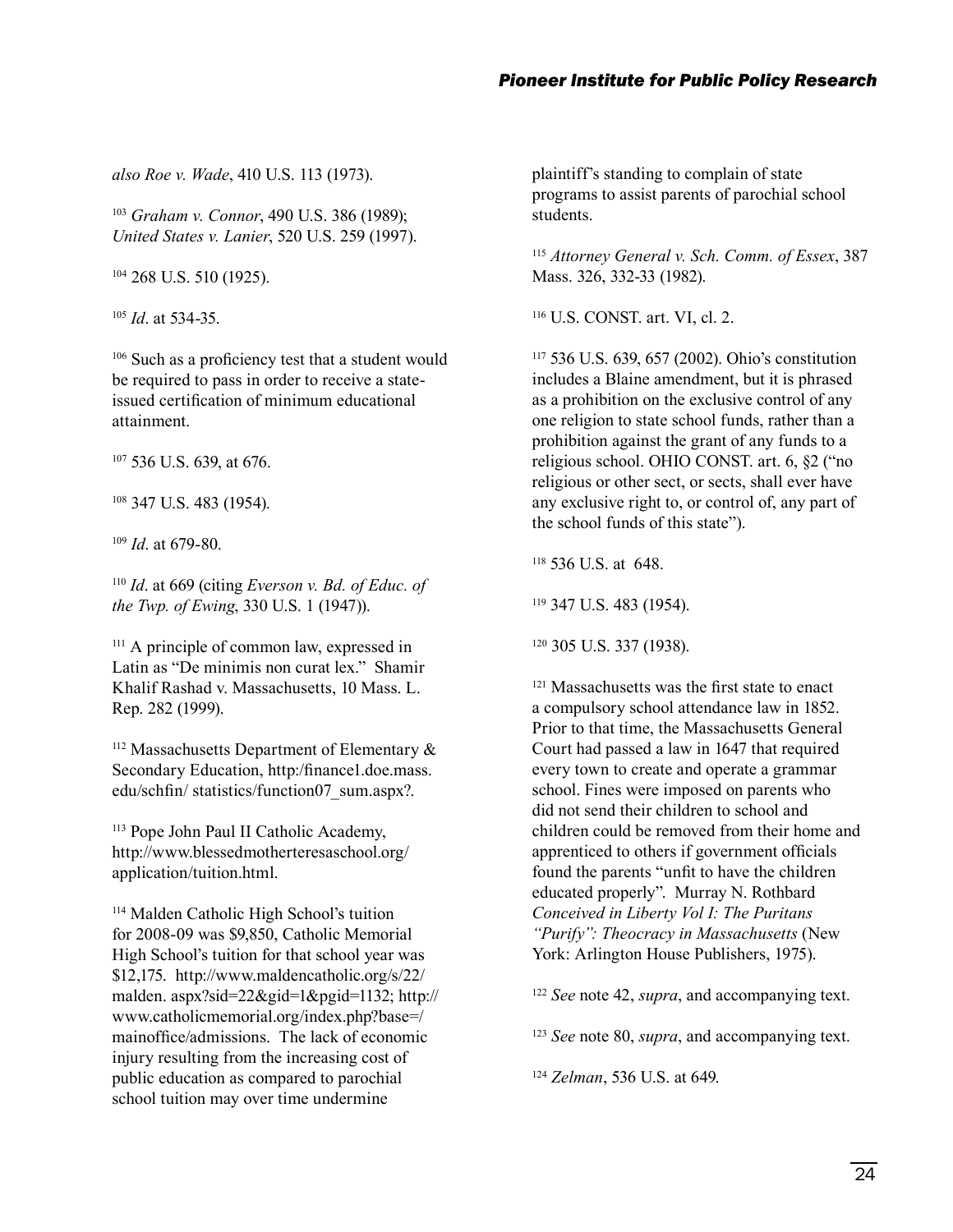*also Roe v. Wade*, 410 U.S. 113 (1973).

<sup>103</sup> *Graham v. Connor*, 490 U.S. 386 (1989); *United States v. Lanier*, 520 U.S. 259 (1997).

104 268 U.S. 510 (1925).

<sup>105</sup> *Id*. at 534-35.

 $106$  Such as a proficiency test that a student would be required to pass in order to receive a stateissued certification of minimum educational attainment.

107 536 U.S. 639, at 676.

108 347 U.S. 483 (1954).

<sup>109</sup> *Id*. at 679-80.

<sup>110</sup> *Id*. at 669 (citing *Everson v. Bd. of Educ. of the Twp. of Ewing*, 330 U.S. 1 (1947)).

<sup>111</sup> A principle of common law, expressed in Latin as "De minimis non curat lex." Shamir Khalif Rashad v. Massachusetts, 10 Mass. L. Rep. 282 (1999).

 $112$  Massachusetts Department of Elementary  $\&$ Secondary Education, http:/financel.doe.mass. edu/schfin/ statistics/function07 sum.aspx?.

113 Pope John Paul II Catholic Academy, http://www.blessedmotherteresaschool.org/ application/tuition.html.

114 Malden Catholic High School's tuition for 2008-09 was \$9,850, Catholic Memorial High School's tuition for that school year was \$12,175. http://www.maldencatholic.org/s/22/ malden. aspx?sid=22&gid=1&pgid=1132; http:// www.catholicmemorial.org/index.php?base=/ mainoffice/admissions. The lack of economic injury resulting from the increasing cost of public education as compared to parochial school tuition may over time undermine

plaintiff's standing to complain of state programs to assist parents of parochial school students.

<sup>115</sup> *Attorney General v. Sch. Comm. of Essex*, 387 Mass. 326, 332-33 (1982).

116 U.S. CONST. art. VI, cl. 2.

117 536 U.S. 639, 657 (2002). Ohio's constitution includes a Blaine amendment, but it is phrased as a prohibition on the exclusive control of any one religion to state school funds, rather than a prohibition against the grant of any funds to a religious school. OHIO CONST. art. 6, §2 ("no religious or other sect, or sects, shall ever have any exclusive right to, or control of, any part of the school funds of this state").

118 536 U.S. at 648.

119 347 U.S. 483 (1954).

120 305 U.S. 337 (1938).

<sup>121</sup> Massachusetts was the first state to enact a compulsory school attendance law in 1852. Prior to that time, the Massachusetts General Court had passed a law in 1647 that required every town to create and operate a grammar school. Fines were imposed on parents who did not send their children to school and children could be removed from their home and apprenticed to others if government officials found the parents "unfit to have the children educated properly". Murray N. Rothbard *Conceived in Liberty Vol I: The Puritans "Purify": Theocracy in Massachusetts* (New York: Arlington House Publishers, 1975).

<sup>122</sup> *See* note 42, *supra*, and accompanying text.

<sup>123</sup> *See* note 80, *supra*, and accompanying text.

<sup>124</sup> *Zelman*, 536 U.S. at 649.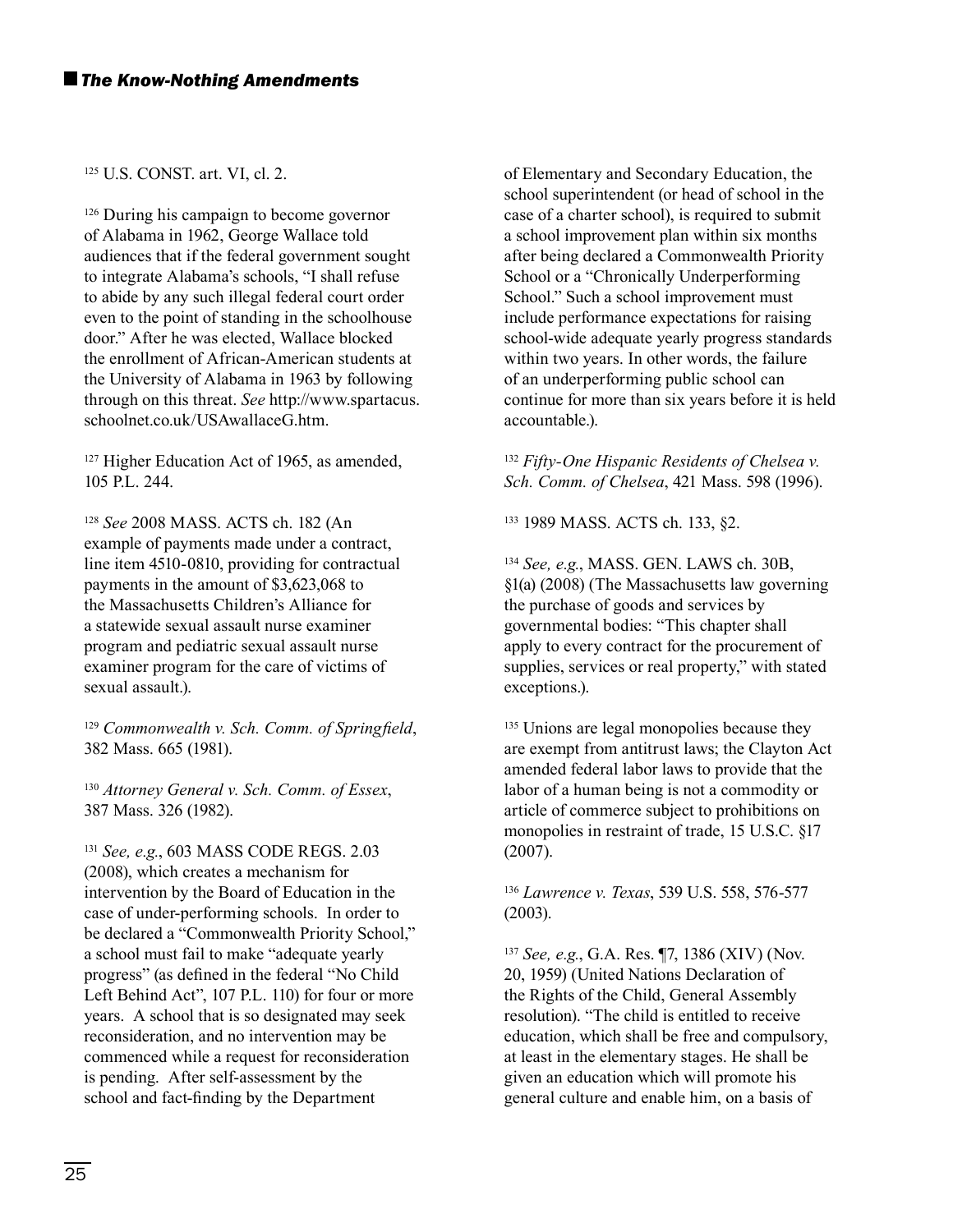#### 125 U.S. CONST. art. VI, cl. 2.

<sup>126</sup> During his campaign to become governor of Alabama in 1962, George Wallace told audiences that if the federal government sought to integrate Alabama's schools, "I shall refuse to abide by any such illegal federal court order even to the point of standing in the schoolhouse door." After he was elected, Wallace blocked the enrollment of African-American students at the University of Alabama in 1963 by following through on this threat. *See* http://www.spartacus. schoolnet.co.uk/USAwallaceG.htm.

<sup>127</sup> Higher Education Act of 1965, as amended, 105 P.L. 244.

<sup>128</sup> *See* 2008 MASS. ACTS ch. 182 (An example of payments made under a contract, line item 4510-0810, providing for contractual payments in the amount of \$3,623,068 to the Massachusetts Children's Alliance for a statewide sexual assault nurse examiner program and pediatric sexual assault nurse examiner program for the care of victims of sexual assault.).

<sup>129</sup> Commonwealth v. Sch. Comm. of Springfield, 382 Mass. 665 (1981).

<sup>130</sup> *Attorney General v. Sch. Comm. of Essex*, 387 Mass. 326 (1982).

<sup>131</sup> *See, e.g.*, 603 MASS CODE REGS. 2.03 (2008), which creates a mechanism for intervention by the Board of Education in the case of under-performing schools. In order to be declared a "Commonwealth Priority School," a school must fail to make "adequate yearly progress" (as defined in the federal "No Child Left Behind Act", 107 P.L. 110) for four or more years. A school that is so designated may seek reconsideration, and no intervention may be commenced while a request for reconsideration is pending. After self-assessment by the school and fact-finding by the Department

of Elementary and Secondary Education, the school superintendent (or head of school in the case of a charter school), is required to submit a school improvement plan within six months after being declared a Commonwealth Priority School or a "Chronically Underperforming School." Such a school improvement must include performance expectations for raising school-wide adequate yearly progress standards within two years. In other words, the failure of an underperforming public school can continue for more than six years before it is held accountable.).

<sup>132</sup> *Fifty-One Hispanic Residents of Chelsea v. Sch. Comm. of Chelsea*, 421 Mass. 598 (1996).

133 1989 MASS. ACTS ch. 133, §2.

<sup>134</sup> *See, e.g.*, MASS. GEN. LAWS ch. 30B, §1(a) (2008) (The Massachusetts law governing the purchase of goods and services by governmental bodies: "This chapter shall apply to every contract for the procurement of supplies, services or real property," with stated exceptions.).

<sup>135</sup> Unions are legal monopolies because they are exempt from antitrust laws; the Clayton Act amended federal labor laws to provide that the labor of a human being is not a commodity or article of commerce subject to prohibitions on monopolies in restraint of trade, 15 U.S.C. §17 (2007).

<sup>136</sup> *Lawrence v. Texas*, 539 U.S. 558, 576-577 (2003).

<sup>137</sup> *See, e.g.*, G.A. Res. ¶7, 1386 (XIV) (Nov. 20, 1959) (United Nations Declaration of the Rights of the Child, General Assembly resolution). "The child is entitled to receive education, which shall be free and compulsory, at least in the elementary stages. He shall be given an education which will promote his general culture and enable him, on a basis of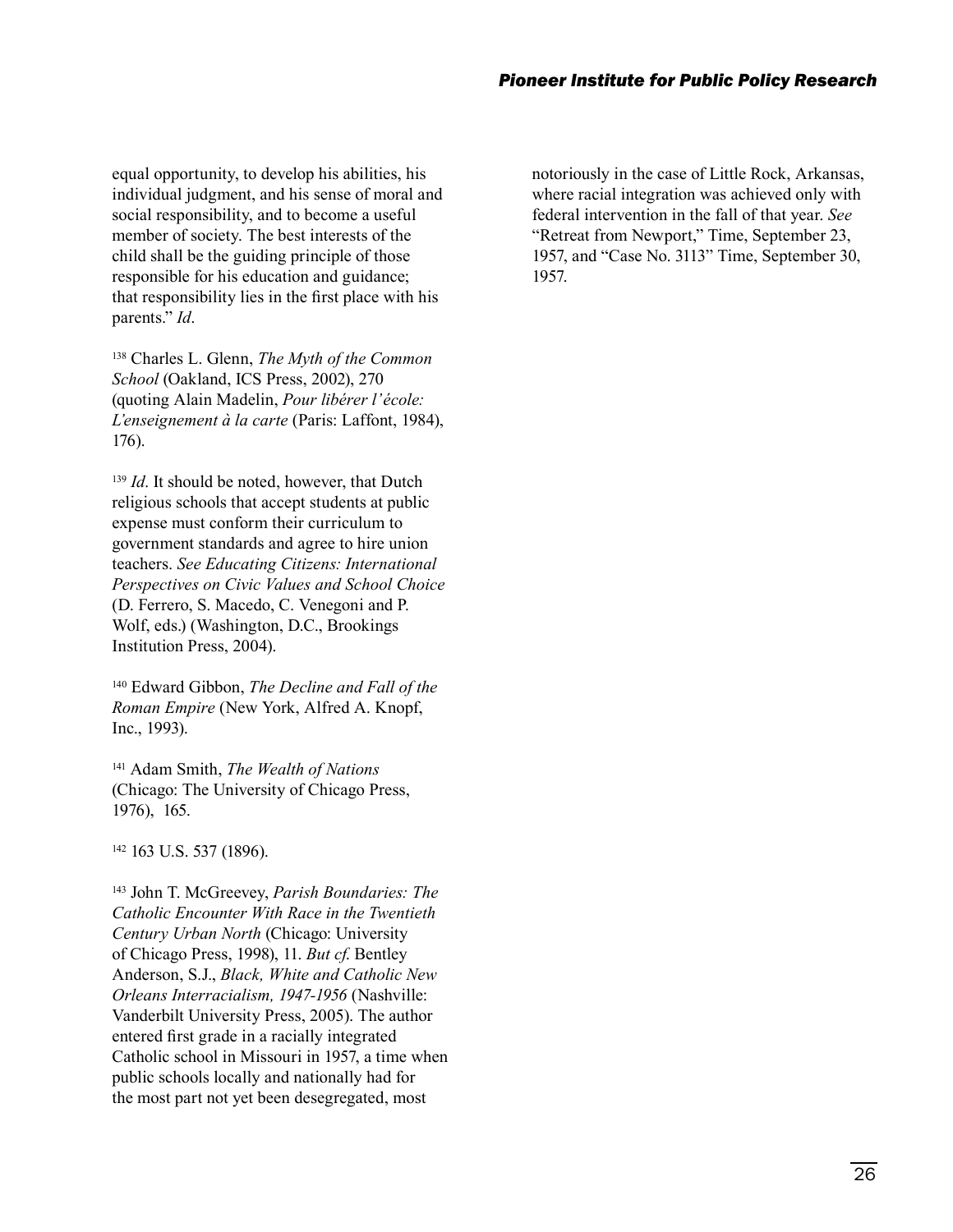equal opportunity, to develop his abilities, his individual judgment, and his sense of moral and social responsibility, and to become a useful member of society. The best interests of the child shall be the guiding principle of those responsible for his education and guidance; that responsibility lies in the first place with his parents." *Id*.

138 Charles L. Glenn, *The Myth of the Common School* (Oakland, ICS Press, 2002), 270 (quoting Alain Madelin, *Pour libérer l'école: L'enseignement à la carte* (Paris: Laffont, 1984), 176).

<sup>139</sup> *Id*. It should be noted, however, that Dutch religious schools that accept students at public expense must conform their curriculum to government standards and agree to hire union teachers. *See Educating Citizens: International Perspectives on Civic Values and School Choice* (D. Ferrero, S. Macedo, C. Venegoni and P. Wolf, eds.) (Washington, D.C., Brookings Institution Press, 2004).

140 Edward Gibbon, *The Decline and Fall of the Roman Empire* (New York, Alfred A. Knopf, Inc., 1993).

141 Adam Smith, *The Wealth of Nations* (Chicago: The University of Chicago Press, 1976), 165.

142 163 U.S. 537 (1896).

143 John T. McGreevey, *Parish Boundaries: The Catholic Encounter With Race in the Twentieth Century Urban North* (Chicago: University of Chicago Press, 1998), 11. *But cf*. Bentley Anderson, S.J., *Black, White and Catholic New Orleans Interracialism, 1947-1956* (Nashville: Vanderbilt University Press, 2005). The author entered first grade in a racially integrated Catholic school in Missouri in 1957, a time when public schools locally and nationally had for the most part not yet been desegregated, most

notoriously in the case of Little Rock, Arkansas, where racial integration was achieved only with federal intervention in the fall of that year. *See* "Retreat from Newport," Time, September 23, 1957, and "Case No. 3113" Time, September 30, 1957.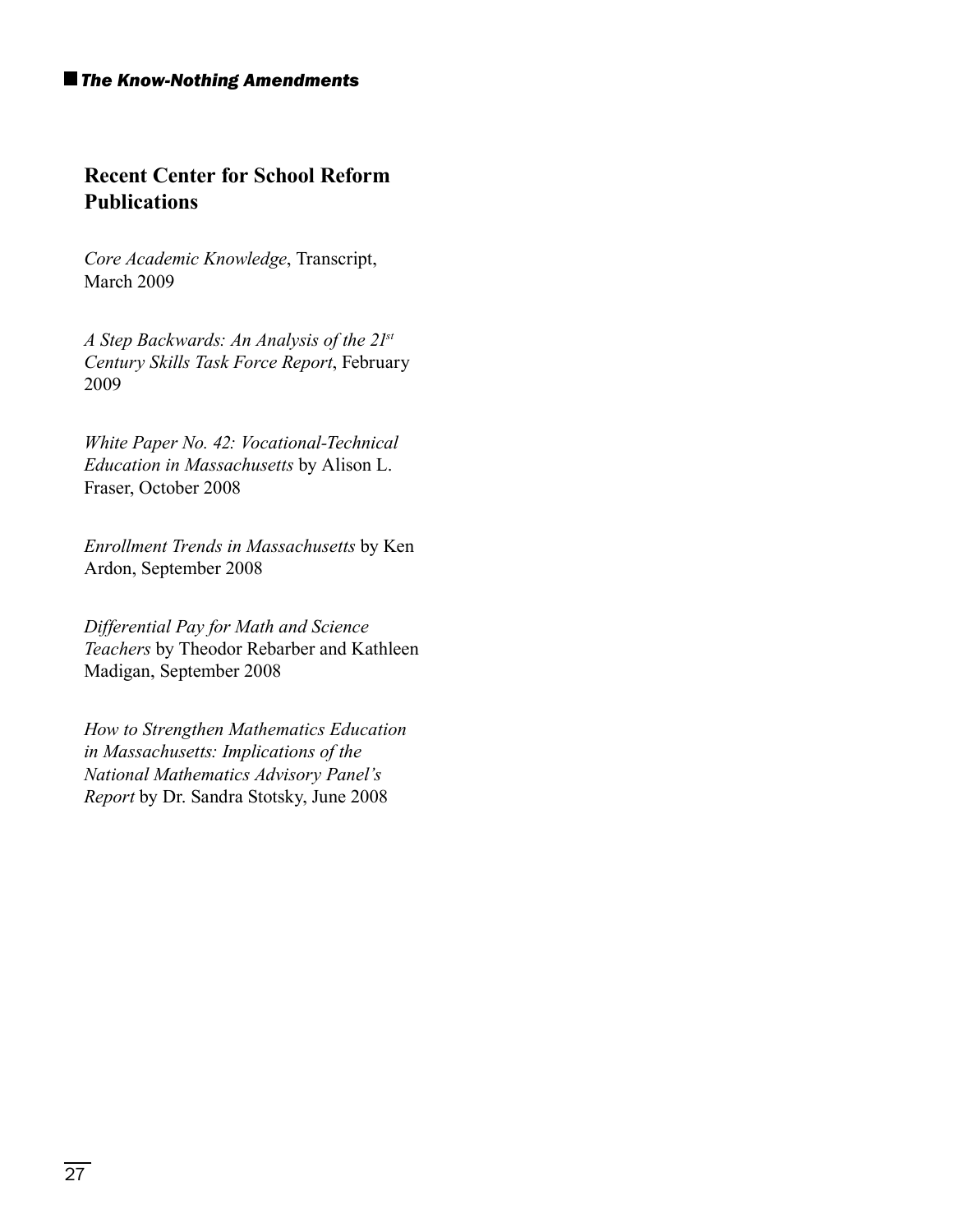#### *The Know-Nothing Amendments*

## **Recent Center for School Reform Publications**

*Core Academic Knowledge*, Transcript, March 2009

*A Step Backwards: An Analysis of the 21st Century Skills Task Force Report*, February 2009

*White Paper No. 42: Vocational-Technical Education in Massachusetts* by Alison L. Fraser, October 2008

*Enrollment Trends in Massachusetts* by Ken Ardon, September 2008

*Differential Pay for Math and Science Teachers* by Theodor Rebarber and Kathleen Madigan, September 2008

*How to Strengthen Mathematics Education in Massachusetts: Implications of the National Mathematics Advisory Panel's Report* by Dr. Sandra Stotsky, June 2008